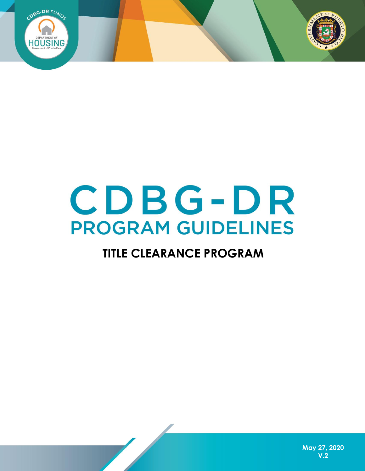



# CDBG-DR **PROGRAM GUIDELINES**

# **TITLE CLEARANCE PROGRAM**

**May 27, 2020 V.2**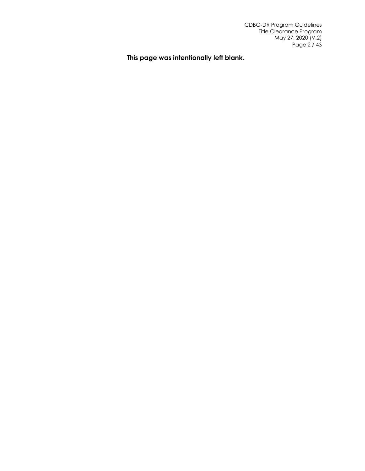CDBG-DR Program Guidelines Title Clearance Program May 27, 2020 (V.2) Page 2 / 43

**This page was intentionally left blank.**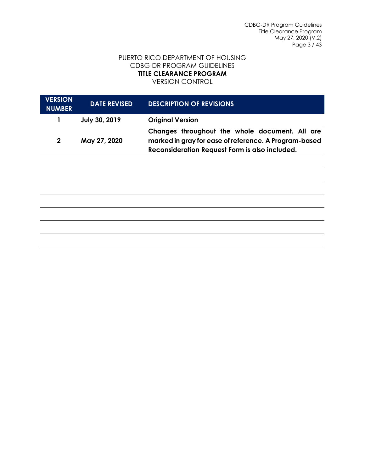CDBG-DR Program Guidelines Title Clearance Program May 27, 2020 (V.2) Page 3 / 43

#### PUERTO RICO DEPARTMENT OF HOUSING CDBG-DR PROGRAM GUIDELINES **TITLE CLEARANCE PROGRAM** VERSION CONTROL

| <b>VERSION</b><br><b>NUMBER</b> | <b>DATE REVISED</b> | <b>DESCRIPTION OF REVISIONS</b>                                                                                                                           |
|---------------------------------|---------------------|-----------------------------------------------------------------------------------------------------------------------------------------------------------|
|                                 | July 30, 2019       | <b>Original Version</b>                                                                                                                                   |
| $\mathbf{2}$                    | May 27, 2020        | Changes throughout the whole document. All are<br>marked in gray for ease of reference. A Program-based<br>Reconsideration Request Form is also included. |
|                                 |                     |                                                                                                                                                           |
|                                 |                     |                                                                                                                                                           |
|                                 |                     |                                                                                                                                                           |
|                                 |                     |                                                                                                                                                           |
|                                 |                     |                                                                                                                                                           |
|                                 |                     |                                                                                                                                                           |
|                                 |                     |                                                                                                                                                           |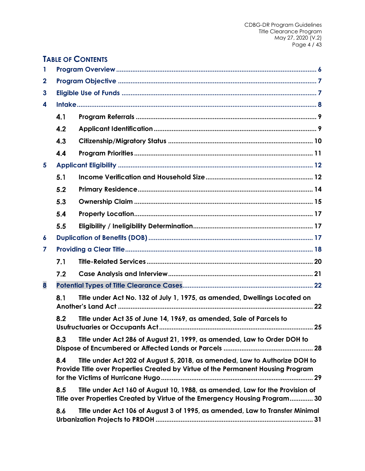# **TABLE OF CONTENTS**

| $\mathbf{1}$     |     |                                                                                                                                                                |  |  |  |
|------------------|-----|----------------------------------------------------------------------------------------------------------------------------------------------------------------|--|--|--|
| $\mathbf 2$      |     |                                                                                                                                                                |  |  |  |
| 3                |     |                                                                                                                                                                |  |  |  |
| 4                |     |                                                                                                                                                                |  |  |  |
|                  | 4.1 |                                                                                                                                                                |  |  |  |
|                  | 4.2 |                                                                                                                                                                |  |  |  |
|                  | 4.3 |                                                                                                                                                                |  |  |  |
|                  | 4.4 |                                                                                                                                                                |  |  |  |
| 5                |     |                                                                                                                                                                |  |  |  |
|                  | 5.1 |                                                                                                                                                                |  |  |  |
|                  | 5.2 |                                                                                                                                                                |  |  |  |
|                  | 5.3 |                                                                                                                                                                |  |  |  |
|                  | 5.4 |                                                                                                                                                                |  |  |  |
|                  | 5.5 |                                                                                                                                                                |  |  |  |
| $\boldsymbol{6}$ |     |                                                                                                                                                                |  |  |  |
| 7                |     |                                                                                                                                                                |  |  |  |
|                  | 7.1 |                                                                                                                                                                |  |  |  |
|                  | 7.2 |                                                                                                                                                                |  |  |  |
| 8                |     |                                                                                                                                                                |  |  |  |
|                  | 8.1 | Title under Act No. 132 of July 1, 1975, as amended, Dwellings Located on                                                                                      |  |  |  |
|                  | 8.2 | Title under Act 35 of June 14, 1969, as amended, Sale of Parcels to                                                                                            |  |  |  |
|                  | 8.3 | Title under Act 286 of August 21, 1999, as amended, Law to Order DOH to                                                                                        |  |  |  |
|                  | 8.4 | Title under Act 202 of August 5, 2018, as amended, Law to Authorize DOH to<br>Provide Title over Properties Created by Virtue of the Permanent Housing Program |  |  |  |
|                  | 8.5 | Title under Act 160 of August 10, 1988, as amended, Law for the Provision of<br>Title over Properties Created by Virtue of the Emergency Housing Program 30    |  |  |  |
|                  | 8.6 | Title under Act 106 of August 3 of 1995, as amended, Law to Transfer Minimal                                                                                   |  |  |  |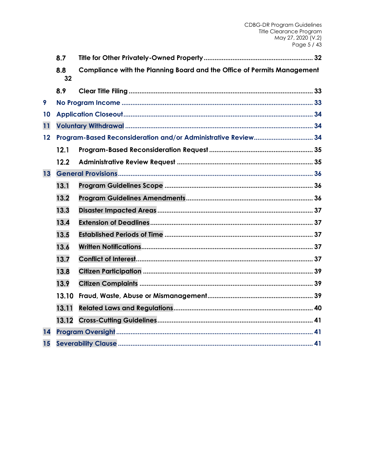|    | 8.7       |                                                                         |  |  |  |  |
|----|-----------|-------------------------------------------------------------------------|--|--|--|--|
|    | 8.8<br>32 | Compliance with the Planning Board and the Office of Permits Management |  |  |  |  |
|    | 8.9       |                                                                         |  |  |  |  |
| 9  |           |                                                                         |  |  |  |  |
| 10 |           |                                                                         |  |  |  |  |
| 11 |           |                                                                         |  |  |  |  |
| 12 |           | Program-Based Reconsideration and/or Administrative Review 34           |  |  |  |  |
|    | 12.1      |                                                                         |  |  |  |  |
|    | 12.2      |                                                                         |  |  |  |  |
| 13 |           |                                                                         |  |  |  |  |
|    | 13.1      |                                                                         |  |  |  |  |
|    | 13.2      |                                                                         |  |  |  |  |
|    | 13.3      |                                                                         |  |  |  |  |
|    | 13.4      |                                                                         |  |  |  |  |
|    | 13.5      |                                                                         |  |  |  |  |
|    | 13.6      |                                                                         |  |  |  |  |
|    | 13.7      |                                                                         |  |  |  |  |
|    | 13.8      |                                                                         |  |  |  |  |
|    | 13.9      |                                                                         |  |  |  |  |
|    | 13.10     |                                                                         |  |  |  |  |
|    | 13.11     |                                                                         |  |  |  |  |
|    | 13.12     |                                                                         |  |  |  |  |
| 14 |           |                                                                         |  |  |  |  |
| 15 |           |                                                                         |  |  |  |  |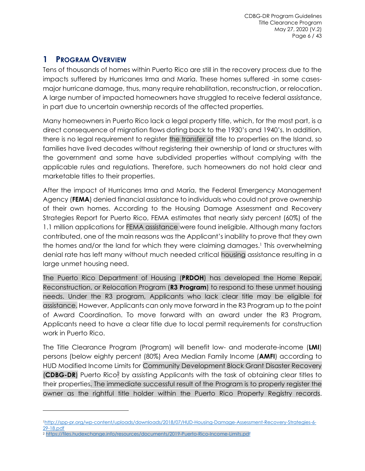# <span id="page-5-0"></span>**1 PROGRAM OVERVIEW**

Tens of thousands of homes within Puerto Rico are still in the recovery process due to the impacts suffered by Hurricanes Irma and María. These homes suffered -in some casesmajor hurricane damage, thus, many require rehabilitation, reconstruction, or relocation. A large number of impacted homeowners have struggled to receive federal assistance, in part due to uncertain ownership records of the affected properties.

Many homeowners in Puerto Rico lack a legal property title, which, for the most part, is a direct consequence of migration flows dating back to the 1930's and 1940's. In addition, there is no legal requirement to register the transfer of title to properties on the Island, so families have lived decades without registering their ownership of land or structures with the government and some have subdivided properties without complying with the applicable rules and regulations. Therefore, such homeowners do not hold clear and marketable titles to their properties.

After the impact of Hurricanes Irma and María, the Federal Emergency Management Agency (**FEMA**) denied financial assistance to individuals who could not prove ownership of their own homes. According to the Housing Damage Assessment and Recovery Strategies Report for Puerto Rico, FEMA estimates that nearly sixty percent (60%) of the 1.1 million applications for FEMA assistance were found ineligible. Although many factors contributed, one of the main reasons was the Applicant's inability to prove that they own the homes and/or the land for which they were claiming damages. <sup>1</sup> This overwhelming denial rate has left many without much needed critical housing assistance resulting in a large unmet housing need.

The Puerto Rico Department of Housing (**PRDOH**) has developed the Home Repair, Reconstruction, or Relocation Program (**R3 Program**) to respond to these unmet housing needs. Under the R3 program, Applicants who lack clear title may be eligible for assistance. However, Applicants can only move forward in the R3 Program up to the point of Award Coordination. To move forward with an award under the R3 Program, Applicants need to have a clear title due to local permit requirements for construction work in Puerto Rico.

The Title Clearance Program (Program) will benefit low- and moderate-income (**LMI**) persons (below eighty percent (80%) Area Median Family Income (**AMFI**) according to HUD Modified Income Limits for Community Development Block Grant Disaster Recovery (**CDBG-DR**) Puerto Rico<sup>2</sup> by assisting Applicants with the task of obtaining clear titles to their properties. The immediate successful result of the Program is to properly register the owner as the rightful title holder within the Puerto Rico Property Registry records.

<sup>1</sup>[http://spp-pr.org/wp-content/uploads/downloads/2018/07/HUD-Housing-Damage-Assessment-Recovery-Strategies-6-](http://spp-pr.org/wp-content/uploads/downloads/2018/07/HUD-Housing-Damage-Assessment-Recovery-Strategies-6-29-18.pdf) [29-18.pdf](http://spp-pr.org/wp-content/uploads/downloads/2018/07/HUD-Housing-Damage-Assessment-Recovery-Strategies-6-29-18.pdf)

<sup>2</sup> <https://files.hudexchange.info/resources/documents/2019-Puerto-Rico-Income-Limits.pdf>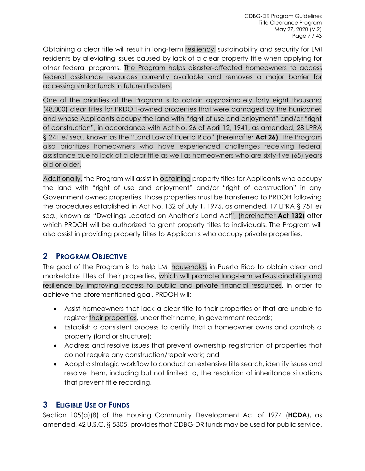Obtaining a clear title will result in long-term resiliency, sustainability and security for LMI residents by alleviating issues caused by lack of a clear property title when applying for other federal programs. The Program helps disaster-affected homeowners to access federal assistance resources currently available and removes a major barrier for accessing similar funds in future disasters.

One of the priorities of the Program is to obtain approximately forty eight thousand (48,000) clear titles for PRDOH-owned properties that were damaged by the hurricanes and whose Applicants occupy the land with "right of use and enjoyment" and/or "right of construction", in accordance with Act No. 26 of April 12, 1941, as amended, 28 LPRA § 241 *et seq.*, known as the "Land Law of Puerto Rico" (hereinafter **Act 26)**. The Program also prioritizes homeowners who have experienced challenges receiving federal assistance due to lack of a clear title as well as homeowners who are sixty-five (65) years old or older.

Additionally, the Program will assist in obtaining property titles for Applicants who occupy the land with "right of use and enjoyment" and/or "right of construction" in any Government owned properties. Those properties must be transferred to PRDOH following the procedures established in Act No. 132 of July 1, 1975, as amended, 17 LPRA § 751 *et seq.*, known as "Dwellings Located on Another's Land Act", (hereinafter **Act 132**) after which PRDOH will be authorized to grant property titles to individuals. The Program will also assist in providing property titles to Applicants who occupy private properties.

# <span id="page-6-0"></span>**2 PROGRAM OBJECTIVE**

The goal of the Program is to help LMI households in Puerto Rico to obtain clear and marketable titles of their properties, which will promote long-term self-sustainability and resilience by improving access to public and private financial resources. In order to achieve the aforementioned goal, PRDOH will:

- Assist homeowners that lack a clear title to their properties or that are unable to register their properties, under their name, in government records;
- Establish a consistent process to certify that a homeowner owns and controls a property (land or structure);
- Address and resolve issues that prevent ownership registration of properties that do not require any construction/repair work; and
- Adopt a strategic workflow to conduct an extensive title search, identify issues and resolve them, including but not limited to, the resolution of inheritance situations that prevent title recording.

# <span id="page-6-1"></span>**3 ELIGIBLE USE OF FUNDS**

Section 105(a)(8) of the Housing Community Development Act of 1974 (**HCDA**), as amended, 42 U.S.C. § 5305, provides that CDBG-DR funds may be used for public service.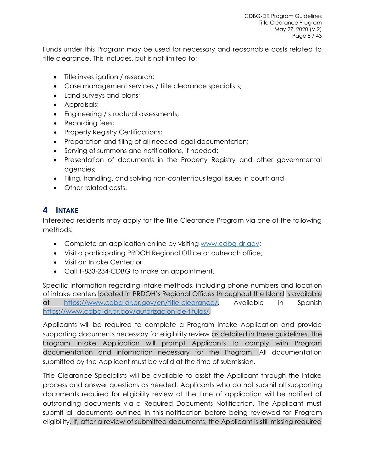Funds under this Program may be used for necessary and reasonable costs related to title clearance. This includes, but is not limited to:

- Title investigation / research;
- Case management services / title clearance specialists;
- Land surveys and plans;
- Appraisals;
- Engineering / structural assessments;
- Recording fees;
- Property Registry Certifications;
- Preparation and filing of all needed legal documentation;
- Serving of summons and notifications, if needed;
- Presentation of documents in the Property Registry and other governmental agencies;
- Filing, handling, and solving non-contentious legal issues in court; and
- Other related costs.

# <span id="page-7-0"></span>**4 INTAKE**

Interested residents may apply for the Title Clearance Program via one of the following methods:

- Complete an application online by visiting [www.cdbg-dr.gov;](http://www.cdbg-dr.gov/)
- Visit a participating PRDOH Regional Office or outreach office;
- Visit an Intake Center; or
- Call 1-833-234-CDBG to make an appointment.

Specific information regarding intake methods, including phone numbers and location of intake centers located in PRDOH's Regional Offices throughout the Island is available at [https://www.cdbg-dr.pr.gov/en/title-clearance/.](https://www.cdbg-dr.pr.gov/en/title-clearance/) Available in Spanish [https://www.cdbg-dr.pr.gov/autorizacion-de-titulos/.](https://www.cdbg-dr.pr.gov/autorizacion-de-titulos/)

Applicants will be required to complete a Program Intake Application and provide supporting documents necessary for eligibility review as detailed in these guidelines. The Program Intake Application will prompt Applicants to comply with Program documentation and information necessary for the Program. All documentation submitted by the Applicant must be valid at the time of submission.

Title Clearance Specialists will be available to assist the Applicant through the intake process and answer questions as needed. Applicants who do not submit all supporting documents required for eligibility review at the time of application will be notified of outstanding documents via a Required Documents Notification. The Applicant must submit all documents outlined in this notification before being reviewed for Program eligibility. If, after a review of submitted documents, the Applicant is still missing required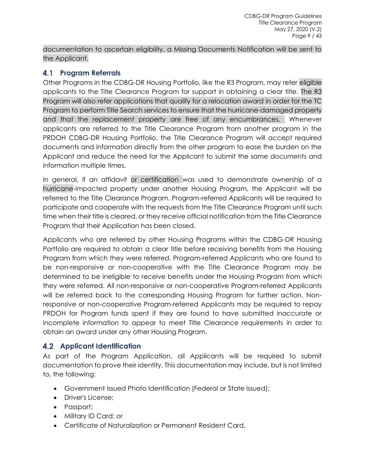documentation to ascertain eligibility, a Missing Documents Notification will be sent to the Applicant.

#### <span id="page-8-0"></span>**4.1 Program Referrals**

Other Programs in the CDBG-DR Housing Portfolio, like the R3 Program, may refer eligible applicants to the Title Clearance Program for support in obtaining a clear title. The R3 Program will also refer applications that qualify for a relocation award in order for the TC Program to perform Title Search services to ensure that the hurricane-damaged property and that the replacement property are free of any encumbrances. Whenever applicants are referred to the Title Clearance Program from another program in the PRDOH CDBG-DR Housing Portfolio, the Title Clearance Program will accept required documents and information directly from the other program to ease the burden on the Applicant and reduce the need for the Applicant to submit the same documents and information multiple times.

In general, if an affidavit or certification was used to demonstrate ownership of a hurricane-impacted property under another Housing Program, the Applicant will be referred to the Title Clearance Program. Program-referred Applicants will be required to participate and cooperate with the requests from the Title Clearance Program until such time when their title is cleared, or they receive official notification from the Title Clearance Program that their Application has been closed.

Applicants who are referred by other Housing Programs within the CDBG-DR Housing Portfolio are required to obtain a clear title before receiving benefits from the Housing Program from which they were referred. Program-referred Applicants who are found to be non-responsive or non-cooperative with the Title Clearance Program may be determined to be ineligible to receive benefits under the Housing Program from which they were referred. All non-responsive or non-cooperative Program-referred Applicants will be referred back to the corresponding Housing Program for further action. Nonresponsive or non-cooperative Program-referred Applicants may be required to repay PRDOH for Program funds spent if they are found to have submitted inaccurate or incomplete information to appear to meet Title Clearance requirements in order to obtain an award under any other Housing Program.

# <span id="page-8-1"></span>**4.2 Applicant Identification**

As part of the Program Application, all Applicants will be required to submit documentation to prove their identity. This documentation may include, but is not limited to, the following:

- Government Issued Photo Identification (Federal or State issued);
- Driver's License;
- Passport;
- Military ID Card; or
- Certificate of Naturalization or Permanent Resident Card.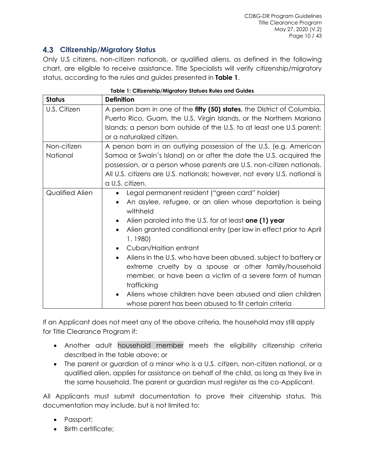#### <span id="page-9-0"></span>**Citizenship/Migratory Status**

Only U.S citizens, non-citizen nationals, or qualified aliens, as defined in the following chart, are eligible to receive assistance. Title Specialists will verify citizenship/migratory status, according to the rules and guides presented in **[Table 1](#page-9-1)**.

<span id="page-9-1"></span>

|                 | rapie 1. Cilizeriship/migrafory signess koles and Obides                       |  |  |  |  |
|-----------------|--------------------------------------------------------------------------------|--|--|--|--|
| <b>Status</b>   | <b>Definition</b>                                                              |  |  |  |  |
| U.S. Citizen    | A person born in one of the fifty (50) states, the District of Columbia,       |  |  |  |  |
|                 | Puerto Rico, Guam, the U.S. Virgin Islands, or the Northern Mariana            |  |  |  |  |
|                 | Islands; a person born outside of the U.S. to at least one U.S parent;         |  |  |  |  |
|                 | or a naturalized citizen.                                                      |  |  |  |  |
| Non-citizen     | A person born in an outlying possession of the U.S. (e.g. American             |  |  |  |  |
| National        | Samoa or Swain's Island) on or after the date the U.S. acquired the            |  |  |  |  |
|                 | possession, or a person whose parents are U.S. non-citizen nationals.          |  |  |  |  |
|                 | All U.S. citizens are U.S. nationals; however, not every U.S. national is      |  |  |  |  |
|                 | a U.S. citizen.                                                                |  |  |  |  |
| Qualified Alien | Legal permanent resident ("green card" holder)                                 |  |  |  |  |
|                 | An asylee, refugee, or an alien whose deportation is being                     |  |  |  |  |
|                 | withheld                                                                       |  |  |  |  |
|                 | Alien paroled into the U.S. for at least one (1) year<br>$\bullet$             |  |  |  |  |
|                 | Alien granted conditional entry (per law in effect prior to April<br>$\bullet$ |  |  |  |  |
|                 | 1, 1980)                                                                       |  |  |  |  |
|                 | Cuban/Haitian entrant<br>$\bullet$                                             |  |  |  |  |
|                 | Aliens in the U.S. who have been abused, subject to battery or<br>$\bullet$    |  |  |  |  |
|                 | extreme cruelty by a spouse or other family/household                          |  |  |  |  |
|                 | member, or have been a victim of a severe form of human                        |  |  |  |  |
|                 | trafficking                                                                    |  |  |  |  |
|                 | Aliens whose children have been abused and alien children<br>$\bullet$         |  |  |  |  |
|                 | whose parent has been abused to fit certain criteria                           |  |  |  |  |

#### **Table 1: Citizenship/Migratory Statues Rules and Guides**

If an Applicant does not meet any of the above criteria, the household may still apply for Title Clearance Program if:

- Another adult household member meets the eligibility citizenship criteria described in the table above; or
- The parent or guardian of a minor who is a U.S. citizen, non-citizen national, or a qualified alien, applies for assistance on behalf of the child, as long as they live in the same household. The parent or guardian must register as the co-Applicant.

All Applicants must submit documentation to prove their citizenship status. This documentation may include, but is not limited to:

- Passport;
- Birth certificate;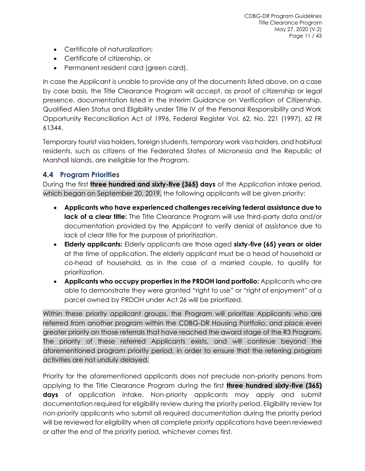- Certificate of naturalization;
- Certificate of citizenship, or
- Permanent resident card (green card).

In case the Applicant is unable to provide any of the documents listed above, on a case by case basis, the Title Clearance Program will accept, as proof of citizenship or legal presence, documentation listed in the Interim Guidance on Verification of Citizenship, Qualified Alien Status and Eligibility under Title IV of the Personal Responsibility and Work Opportunity Reconciliation Act of 1996, Federal Register Vol. 62, No. 221 (1997), 62 FR 61344.

Temporary tourist visa holders, foreign students, temporary work visa holders, and habitual residents, such as citizens of the Federated States of Micronesia and the Republic of Marshall Islands, are ineligible for the Program.

#### <span id="page-10-0"></span>**Program Priorities**

During the first **three hundred and sixty-five (365) days** of the Application intake period, which began on September 20, 2019, the following applicants will be given priority:

- **Applicants who have experienced challenges receiving federal assistance due to lack of a clear title:** The Title Clearance Program will use third-party data and/or documentation provided by the Applicant to verify denial of assistance due to lack of clear title for the purpose of prioritization.
- **Elderly applicants:** Elderly applicants are those aged **sixty-five (65) years or older** at the time of application. The elderly applicant must be a head of household or co-head of household, as in the case of a married couple, to qualify for prioritization.
- **Applicants who occupy properties in the PRDOH land portfolio:** Applicants who are able to demonstrate they were granted "right to use" or "right of enjoyment" of a parcel owned by PRDOH under Act 26 will be prioritized.

Within these priority applicant groups, the Program will prioritize Applicants who are referred from another program within the CDBG-DR Housing Portfolio, and place even greater priority on those referrals that have reached the award stage of the R3 Program. The priority of these referred Applicants exists, and will continue beyond the aforementioned program priority period, in order to ensure that the referring program activities are not unduly delayed.

Priority for the aforementioned applicants does not preclude non-priority persons from applying to the Title Clearance Program during the first **three hundred sixty-five (365) days** of application intake. Non-priority applicants may apply and submit documentation required for eligibility review during the priority period. Eligibility review for *non-priority* applicants who submit all required documentation during the priority period will be reviewed for eligibility when all complete *priority* applications have been reviewed or after the end of the priority period, whichever comes first.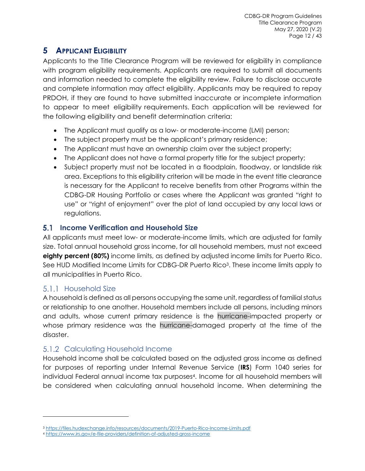# <span id="page-11-0"></span>**5 APPLICANT ELIGIBILITY**

Applicants to the Title Clearance Program will be reviewed for eligibility in compliance with program eligibility requirements. Applicants are required to submit all documents and information needed to complete the eligibility review. Failure to disclose accurate and complete information may affect eligibility. Applicants may be required to repay PRDOH, if they are found to have submitted inaccurate or incomplete information to appear to meet eligibility requirements. Each application will be reviewed for the following eligibility and benefit determination criteria:

- The Applicant must qualify as a low- or moderate-income (LMI) person;
- The subject property must be the applicant's primary residence;
- The Applicant must have an ownership claim over the subject property;
- The Applicant does not have a formal property title for the subject property;
- Subject property must not be located in a floodplain, floodway, or landslide risk area. Exceptions to this eligibility criterion will be made in the event title clearance is necessary for the Applicant to receive benefits from other Programs within the CDBG-DR Housing Portfolio or cases where the Applicant was granted "right to use" or "right of enjoyment" over the plot of land occupied by any local laws or regulations.

# <span id="page-11-1"></span>**Income Verification and Household Size**

All applicants must meet low- or moderate-income limits, which are adjusted for family size. Total annual household gross income, for all household members, must not exceed **eighty percent (80%)** income limits, as defined by adjusted income limits for Puerto Rico. See HUD Modified Income Limits for CDBG-DR Puerto Rico<sup>3</sup>. These income limits apply to all municipalities in Puerto Rico.

# 5.1.1 Household Size

A household is defined as all persons occupying the same unit, regardless of familial status or relationship to one another. Household members include all persons, including minors and adults, whose current primary residence is the hurricane-impacted property or whose primary residence was the hurricane-damaged property at the time of the disaster.

# 5.1.2 Calculating Household Income

Household income shall be calculated based on the adjusted gross income as defined for purposes of reporting under Internal Revenue Service (**IRS**) Form 1040 series for individual Federal annual income tax purposes<sup>4</sup>. Income for all household members will be considered when calculating annual household income. When determining the

<sup>3</sup> <https://files.hudexchange.info/resources/documents/2019-Puerto-Rico-Income-Limits.pdf>

<sup>4</sup> <https://www.irs.gov/e-file-providers/definition-of-adjusted-gross-income>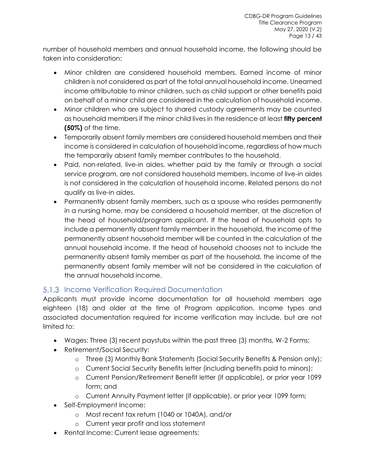number of household members and annual household income, the following should be taken into consideration:

- Minor children are considered household members. Earned income of minor children is not considered as part of the total annual household income. Unearned income attributable to minor children, such as child support or other benefits paid on behalf of a minor child are considered in the calculation of household income.
- Minor children who are subject to shared custody agreements may be counted as household members if the minor child lives in the residence at least **fifty percent (50%)** of the time.
- Temporarily absent family members are considered household members and their income is considered in calculation of household income, regardless of how much the temporarily absent family member contributes to the household.
- Paid, non-related, live-in aides, whether paid by the family or through a social service program, are not considered household members. Income of live-in aides is not considered in the calculation of household income. Related persons do not qualify as live-in aides.
- Permanently absent family members, such as a spouse who resides permanently in a nursing home, may be considered a household member, at the discretion of the head of household/program applicant. If the head of household opts to include a permanently absent family member in the household, the income of the permanently absent household member will be counted in the calculation of the annual household income. If the head of household chooses not to include the permanently absent family member as part of the household, the income of the permanently absent family member will not be considered in the calculation of the annual household income.

#### **5.1.3** Income Verification Required Documentation

Applicants must provide income documentation for all household members age eighteen (18) and older at the time of Program application. Income types and associated documentation required for income verification may include, but are not limited to:

- Wages: Three (3) recent paystubs within the past three (3) months, W-2 Forms;
- Retirement/Social Security:
	- o Three (3) Monthly Bank Statements (Social Security Benefits & Pension only);
	- o Current Social Security Benefits letter (including benefits paid to minors);
	- o Current Pension/Retirement Benefit letter (if applicable), or prior year 1099 form; and
	- o Current Annuity Payment letter (if applicable), or prior year 1099 form;
- Self-Employment Income:
	- o Most recent tax return (1040 or 1040A), and/or
	- o Current year profit and loss statement
- Rental Income: Current lease agreements;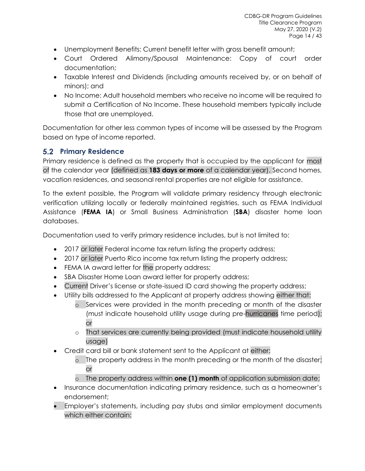- Unemployment Benefits: Current benefit letter with gross benefit amount;
- Court Ordered Alimony/Spousal Maintenance: Copy of court order documentation;
- Taxable Interest and Dividends (including amounts received by, or on behalf of minors); and
- No Income: Adult household members who receive no income will be required to submit a Certification of No Income. These household members typically include those that are unemployed.

Documentation for other less common types of income will be assessed by the Program based on type of income reported.

#### <span id="page-13-0"></span>**5.2 Primary Residence**

Primary residence is defined as the property that is occupied by the applicant for most of the calendar year (defined as **183 days or more** of a calendar year). Second homes, vacation residences, and seasonal rental properties are not eligible for assistance.

To the extent possible, the Program will validate primary residency through electronic verification utilizing locally or federally maintained registries, such as FEMA Individual Assistance (**FEMA IA**) or Small Business Administration (**SBA**) disaster home loan databases.

Documentation used to verify primary residence includes, but is not limited to:

- 2017 or later Federal income tax return listing the property address;
- 2017 or later Puerto Rico income tax return listing the property address;
- FEMA IA award letter for the property address;
- SBA Disaster Home Loan award letter for property address;
- Current Driver's license or state-issued ID card showing the property address;
- Utility bills addressed to the Applicant at property address showing either that:
	- o Services were provided in the month preceding or month of the disaster (must indicate household utility usage during pre-hurricanes time period); or
	- o That services are currently being provided (must indicate household utility usage)
- Credit card bill or bank statement sent to the Applicant at either:
	- o The property address in the month preceding or the month of the disaster; or
	- o The property address within **one (1) month** of application submission date;
- Insurance documentation indicating primary residence, such as a homeowner's endorsement;
- Employer's statements, including pay stubs and similar employment documents which either contain: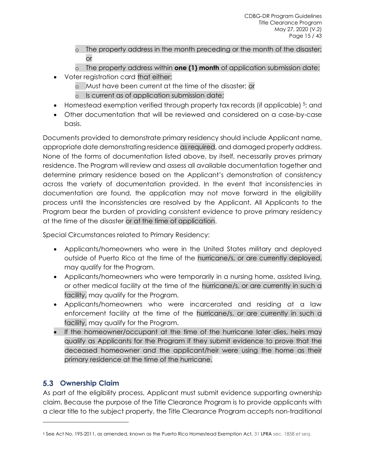- o The property address in the month preceding or the month of the disaster; or
- o The property address within **one (1) month** of application submission date;
- Voter registration card that either:
	- o Must have been current at the time of the disaster; or
	- o Is current as of application submission date;
- Homestead exemption verified through property tax records (if applicable) <sup>5</sup>; and
- Other documentation that will be reviewed and considered on a case-by-case basis.

Documents provided to demonstrate primary residency should include Applicant name, appropriate date demonstrating residence as required, and damaged property address. None of the forms of documentation listed above, by itself, necessarily proves primary residence. The Program will review and assess all available documentation together and determine primary residence based on the Applicant's demonstration of consistency across the variety of documentation provided. In the event that inconsistencies in documentation are found, the application may not move forward in the eligibility process until the inconsistencies are resolved by the Applicant. All Applicants to the Program bear the burden of providing consistent evidence to prove primary residency at the time of the disaster or at the time of application.

Special Circumstances related to Primary Residency:

- Applicants/homeowners who were in the United States military and deployed outside of Puerto Rico at the time of the hurricane/s, or are currently deployed, may qualify for the Program.
- Applicants/homeowners who were temporarily in a nursing home, assisted living, or other medical facility at the time of the hurricane/s, or are currently in such a facility, may qualify for the Program.
- Applicants/homeowners who were incarcerated and residing at a law enforcement facility at the time of the hurricane/s, or are currently in such a facility, may qualify for the Program.
- If the homeowner/occupant at the time of the hurricane later dies, heirs may qualify as Applicants for the Program if they submit evidence to prove that the deceased homeowner and the applicant/heir were using the home as their primary residence at the time of the hurricane.

# <span id="page-14-0"></span>**Ownership Claim**

As part of the eligibility process, Applicant must submit evidence supporting ownership claim. Because the purpose of the Title Clearance Program is to provide applicants with a clear title to the subject property, the Title Clearance Program accepts non-traditional

<sup>5</sup> See Act No. 195-2011, as amended, known as the Puerto Rico Homestead Exemption Act, 31 **LPRA** sec. 1858 *et seq*.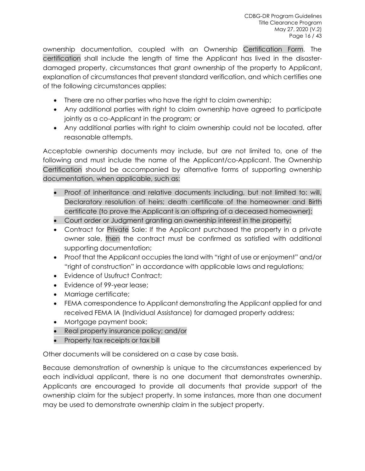ownership documentation, coupled with an Ownership Certification Form. The certification shall include the length of time the Applicant has lived in the disasterdamaged property, circumstances that grant ownership of the property to Applicant, explanation of circumstances that prevent standard verification, and which certifies one of the following circumstances applies:

- There are no other parties who have the right to claim ownership;
- Any additional parties with right to claim ownership have agreed to participate jointly as a co-Applicant in the program; or
- Any additional parties with right to claim ownership could not be located, after reasonable attempts.

Acceptable ownership documents may include, but are not limited to, one of the following and must include the name of the Applicant/co-Applicant. The Ownership Certification should be accompanied by alternative forms of supporting ownership documentation, when applicable, such as:

- Proof of inheritance and relative documents including, but not limited to: will, Declaratory resolution of heirs; death certificate of the homeowner and Birth certificate (to prove the Applicant is an offspring of a deceased homeowner);
- Court order or Judgment granting an ownership interest in the property;
- Contract for Private Sale: If the Applicant purchased the property in a private owner sale, then the contract must be confirmed as satisfied with additional supporting documentation;
- Proof that the Applicant occupies the land with "right of use or enjoyment" and/or "right of construction" in accordance with applicable laws and regulations;
- Evidence of Usufruct Contract:
- Evidence of 99-year lease;
- Marriage certificate;
- FEMA correspondence to Applicant demonstrating the Applicant applied for and received FEMA IA (Individual Assistance) for damaged property address;
- Mortgage payment book;
- Real property insurance policy; and/or
- Property tax receipts or tax bill

Other documents will be considered on a case by case basis.

Because demonstration of ownership is unique to the circumstances experienced by each individual applicant, there is no one document that demonstrates ownership. Applicants are encouraged to provide all documents that provide support of the ownership claim for the subject property. In some instances, more than one document may be used to demonstrate ownership claim in the subject property.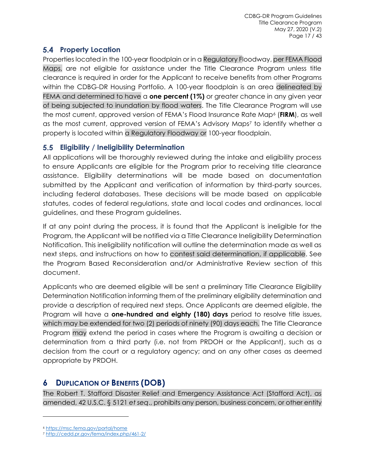#### <span id="page-16-0"></span>**5.4 Property Location**

Properties located in the 100-year floodplain or in a Regulatory Floodway, per FEMA Flood Maps, are not eligible for assistance under the Title Clearance Program unless title clearance is required in order for the Applicant to receive benefits from other Programs within the CDBG-DR Housing Portfolio. A 100-year floodplain is an area delineated by FEMA and determined to have a **one percent (1%)** or greater chance in any given year of being subjected to inundation by flood waters. The Title Clearance Program will use the most current, approved version of FEMA's Flood Insurance Rate Map<sup>6</sup> (**FIRM**), as well as the most current, approved version of FEMA's Advisory Maps<sup>7</sup> to identify whether a property is located within a Regulatory Floodway or 100-year floodplain.

#### <span id="page-16-1"></span>**Eligibility / Ineligibility Determination**

All applications will be thoroughly reviewed during the intake and eligibility process to ensure Applicants are eligible for the Program prior to receiving title clearance assistance. Eligibility determinations will be made based on documentation submitted by the Applicant and verification of information by third-party sources, including federal databases. These decisions will be made based on applicable statutes, codes of federal regulations, state and local codes and ordinances, local guidelines, and these Program guidelines.

If at any point during the process, it is found that the Applicant is ineligible for the Program, the Applicant will be notified via a Title Clearance Ineligibility Determination Notification. This ineligibility notification will outline the determination made as well as next steps, and instructions on how to contest said determination, if applicable. See the Program Based Reconsideration and/or Administrative Review section of this document.

Applicants who are deemed eligible will be sent a preliminary Title Clearance Eligibility Determination Notification informing them of the preliminary eligibility determination and provide a description of required next steps. Once Applicants are deemed eligible, the Program will have a **one-hundred and eighty (180) days** period to resolve title issues, which may be extended for two (2) periods of ninety (90) days each. The Title Clearance Program may extend the period in cases where the Program is awaiting a decision or determination from a third party (i.e. not from PRDOH or the Applicant), such as a decision from the court or a regulatory agency; and on any other cases as deemed appropriate by PRDOH.

# <span id="page-16-2"></span>**6 DUPLICATION OF BENEFITS (DOB)**

The Robert T. Stafford Disaster Relief and Emergency Assistance Act (Stafford Act), as amended, 42 U.S.C. § 5121 *et seq*., prohibits any person, business concern, or other entity

<sup>6</sup> <https://msc.fema.gov/portal/home>

<sup>7</sup> <http://cedd.pr.gov/fema/index.php/461-2/>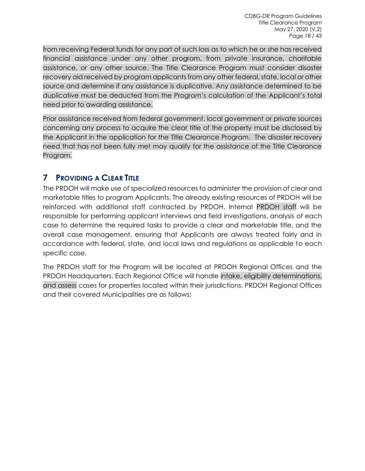from receiving Federal funds for any part of such loss as to which he or she has received financial assistance under any other program, from private insurance, charitable assistance, or any other source. The Title Clearance Program must consider disaster recovery aid received by program applicants from any other federal, state, local or other source and determine if any assistance is duplicative. Any assistance determined to be duplicative must be deducted from the Program's calculation of the Applicant's total need prior to awarding assistance.

Prior assistance received from federal government, local government or private sources concerning any process to acquire the clear title of the property must be disclosed by the Applicant in the application for the Title Clearance Program. The disaster recovery need that has not been fully met may qualify for the assistance of the Title Clearance Program.

# <span id="page-17-0"></span>**7 PROVIDING A CLEAR TITLE**

The PRDOH will make use of specialized resources to administer the provision of clear and marketable titles to program Applicants. The already existing resources of PRDOH will be reinforced with additional staff contracted by PRDOH. Internal PRDOH staff will be responsible for performing applicant interviews and field investigations, analysis of each case to determine the required tasks to provide a clear and marketable title, and the overall case management, ensuring that Applicants are always treated fairly and in accordance with federal, state, and local laws and regulations as applicable to each specific case.

The PRDOH staff for the Program will be located at PRDOH Regional Offices and the PRDOH Headquarters. Each Regional Office will handle intake, eligibility determinations, and assess cases for properties located within their jurisdictions. PRDOH Regional Offices and their covered Municipalities are as follows: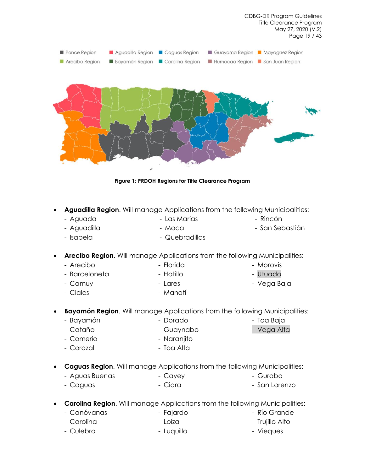



- **Aguadilla Region**. Will manage Applications from the following Municipalities:
	- Aguada
- Las Marías

- Rincón

- San Sebastián

- Aguadilla - Moca
- Isabela - Quebradillas
- **Arecibo Region.** Will manage Applications from the following Municipalities:
	- Arecibo
	- Barceloneta
	- Camuy

- Culebra

- Ciales

- Lares - Manatí

- Florida - Hatillo

- **Bayamón Region.** Will manage Applications from the following Municipalities:
	- Bayamón - Dorado
	- Cataño - Guaynabo
	- Comerío
	- Corozal - Toa Alta
- **Caguas Region**. Will manage Applications from the following Municipalities:

- Naranjito

- Aguas Buenas - Cayey - Gurabo
- Caguas - Cidra - San Lorenzo
- **Carolina Region**. Will manage Applications from the following Municipalities:
	- Canóvanas - Fajardo
	- Carolina - Loíza
		- Luquillo
- Río Grande
- Trujillo Alto
- Vieques
- Morovis
- Utuado
- Vega Baja
- 
- 

- Toa Baja - Vega Alta

- 
- 
- -
	-
- 
-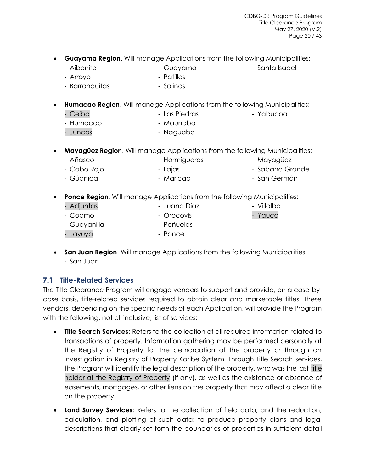- **Guayama Region**. Will manage Applications from the following Municipalities:
	- Aibonito
- Guayama - Patillas

- Santa Isabel

- Arroyo
- Barranquitas - Salinas

• **Humacao Region**. Will manage Applications from the following Municipalities:

- Ceiba - Humacao - Las Piedras - Maunabo
- Juncos - Naguabo
- **Mayagüez Region**. Will manage Applications from the following Municipalities:
	- Añasco - Hormigueros - Mayagüez
	- Cabo Rojo - Lajas
	- Gúanica - Maricao - San Germán
- **Ponce Region**. Will manage Applications from the following Municipalities:
	- Adjuntas - Coamo - Guayanilla - Juana Díaz - Orocovis - Peñuelas - Villalba - Yauco
	- Jayuya - Ponce
- **San Juan Region**. Will manage Applications from the following Municipalities: - San Juan

#### <span id="page-19-0"></span>**Title-Related Services**

The Title Clearance Program will engage vendors to support and provide, on a case-bycase basis, title-related services required to obtain clear and marketable titles. These vendors, depending on the specific needs of each Application, will provide the Program with the following, not all inclusive, list of services:

- **Title Search Services:** Refers to the collection of all required information related to transactions of property. Information gathering may be performed personally at the Registry of Property for the demarcation of the property or through an investigation in Registry of Property Karibe System. Through Title Search services, the Program will identify the legal description of the property, who was the last title holder at the Registry of Property (if any), as well as the existence or absence of easements, mortgages, or other liens on the property that may affect a clear title on the property.
- **Land Survey Services:** Refers to the collection of field data; and the reduction, calculation, and plotting of such data; to produce property plans and legal descriptions that clearly set forth the boundaries of properties in sufficient detail

- Yabucoa

- Sabana Grande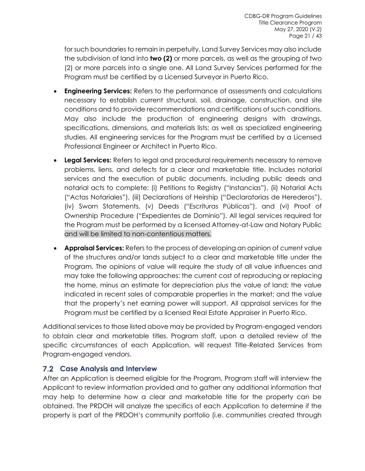for such boundaries to remain in perpetuity. Land Survey Services may also include the subdivision of land into **two (2)** or more parcels, as well as the grouping of two (2) or more parcels into a single one. All Land Survey Services performed for the Program must be certified by a Licensed Surveyor in Puerto Rico.

- **Engineering Services:** Refers to the performance of assessments and calculations necessary to establish current structural, soil, drainage, construction, and site conditions and to provide recommendations and certifications of such conditions. May also include the production of engineering designs with drawings, specifications, dimensions, and materials lists; as well as specialized engineering studies. All engineering services for the Program must be certified by a Licensed Professional Engineer or Architect in Puerto Rico.
- **Legal Services:** Refers to legal and procedural requirements necessary to remove problems, liens, and defects for a clear and marketable title. Includes notarial services and the execution of public documents, including public deeds and notarial acts to complete: (i) Petitions to Registry ("Instancias"), (ii) Notarial Acts ("Actas Notariales"), (iii) Declarations of Heirship ("Declaratorias de Herederos"), (iv) Sworn Statements, (v) Deeds ("Escrituras Públicas"), and (vi) Proof of Ownership Procedure ("Expedientes de Dominio"). All legal services required for the Program must be performed by a licensed Attorney-at-Law and Notary Public and will be limited to non-contentious matters.
- **Appraisal Services:** Refers to the process of developing an opinion of current value of the structures and/or lands subject to a clear and marketable title under the Program. The opinions of value will require the study of all value influences and may take the following approaches: the current cost of reproducing or replacing the home, minus an estimate for depreciation plus the value of land; the value indicated in recent sales of comparable properties in the market; and the value that the property's net earning power will support. All appraisal services for the Program must be certified by a licensed Real Estate Appraiser in Puerto Rico.

Additional services to those listed above may be provided by Program-engaged vendors to obtain clear and marketable titles. Program staff, upon a detailed review of the specific circumstances of each Application, will request Title-Related Services from Program-engaged vendors.

#### <span id="page-20-0"></span>**Case Analysis and Interview**

After an Application is deemed eligible for the Program, Program staff will interview the Applicant to review information provided and to gather any additional information that may help to determine how a clear and marketable title for the property can be obtained. The PRDOH will analyze the specifics of each Application to determine if the property is part of the PRDOH's community portfolio (i.e. communities created through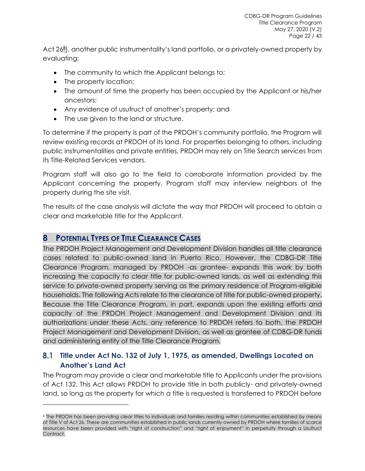Act 26<sup>8</sup>), another public instrumentality's land portfolio, or a privately-owned property by evaluating:

- The community to which the Applicant belongs to;
- The property location;
- The amount of time the property has been occupied by the Applicant or his/her ancestors;
- Any evidence of usufruct of another's property; and
- The use given to the land or structure.

To determine if the property is part of the PRDOH's community portfolio, the Program will review existing records at PRDOH of its land. For properties belonging to others, including public instrumentalities and private entities, PRDOH may rely on Title Search services from its Title-Related Services vendors.

Program staff will also go to the field to corroborate information provided by the Applicant concerning the property. Program staff may interview neighbors of the property during the site visit.

The results of the case analysis will dictate the way that PRDOH will proceed to obtain a clear and marketable title for the Applicant.

#### <span id="page-21-0"></span>**8 POTENTIAL TYPES OF TITLE CLEARANCE CASES**

The PRDOH Project Management and Development Division handles all title clearance cases related to public-owned land in Puerto Rico. However, the CDBG-DR Title Clearance Program, managed by PRDOH -as grantee- expands this work by both increasing the capacity to clear title for public-owned lands, as well as extending this service to private-owned property serving as the primary residence of Program-eligible households. The following Acts relate to the clearance of title for public-owned property. Because the Title Clearance Program, in part, expands upon the existing efforts and capacity of the PRDOH Project Management and Development Division and its authorizations under these Acts, any reference to PRDOH refers to both, the PRDOH Project Management and Development Division, as well as grantee of CDBG-DR funds and administering entity of the Title Clearance Program.

#### <span id="page-21-1"></span>**Title under Act No. 132 of July 1, 1975, as amended, Dwellings Located on Another's Land Act**

The Program may provide a clear and marketable title to Applicants under the provisions of Act 132. This Act allows PRDOH to provide title in both publicly- and privately-owned land, so long as the property for which a title is requested is transferred to PRDOH before

<sup>&</sup>lt;sup>8</sup> The PRDOH has been providing clear titles to individuals and families residing within communities established by means of Title V of Act 26. These are communities established in public lands currently owned by PRDOH where families of scarce resources have been provided with "right of construction" and "right of enjoyment" in perpetuity through a Usufruct Contract.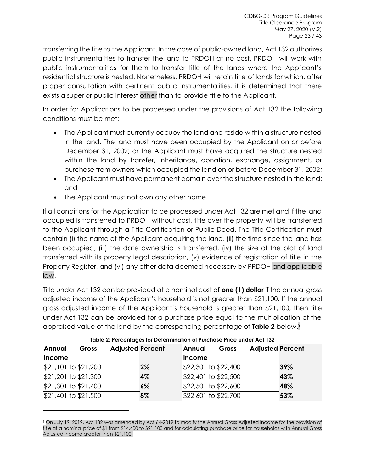transferring the title to the Applicant. In the case of public-owned land, Act 132 authorizes public instrumentalities to transfer the land to PRDOH at no cost. PRDOH will work with public instrumentalities for them to transfer title of the lands where the Applicant's residential structure is nested. Nonetheless, PRDOH will retain title of lands for which, after proper consultation with pertinent public instrumentalities, it is determined that there exists a superior public interest other than to provide title to the Applicant.

In order for Applications to be processed under the provisions of Act 132 the following conditions must be met:

- The Applicant must currently occupy the land and reside within a structure nested in the land. The land must have been occupied by the Applicant on or before December 31, 2002; or the Applicant must have acquired the structure nested within the land by transfer, inheritance, donation, exchange, assignment, or purchase from owners which occupied the land on or before December 31, 2002;
- The Applicant must have permanent domain over the structure nested in the land; and
- The Applicant must not own any other home.

If all conditions for the Application to be processed under Act 132 are met and if the land occupied is transferred to PRDOH without cost, title over the property will be transferred to the Applicant through a Title Certification or Public Deed. The Title Certification must contain (i) the name of the Applicant acquiring the land, (ii) the time since the land has been occupied, (iii) the date ownership is transferred, (iv) the size of the plot of land transferred with its property legal description, (v) evidence of registration of title in the Property Register, and (vi) any other data deemed necessary by PRDOH and applicable law.

Title under Act 132 can be provided at a nominal cost of **one (1) dollar** if the annual gross adjusted income of the Applicant's household is not greater than \$21,100. If the annual gross adjusted income of the Applicant's household is greater than \$21,100, then title under Act 132 can be provided for a purchase price equal to the multiplication of the appraised value of the land by the corresponding percentage of **[Table 2](#page-22-0)** below.**<sup>9</sup>**

<span id="page-22-0"></span>

|                      | Table 2: Percentages for Defermination of Purchase Price under Act 132 |                         |       |                      |       |                         |     |
|----------------------|------------------------------------------------------------------------|-------------------------|-------|----------------------|-------|-------------------------|-----|
| Annual               | Gross                                                                  | <b>Adjusted Percent</b> |       | Annual               | Gross | <b>Adjusted Percent</b> |     |
| <b>Income</b>        |                                                                        |                         |       | Income               |       |                         |     |
| \$21,101 to \$21,200 |                                                                        |                         | $2\%$ | \$22,301 to \$22,400 |       |                         | 39% |
| \$21,201 to \$21,300 |                                                                        |                         | $4\%$ | \$22,401 to \$22,500 |       |                         | 43% |
| \$21,301 to \$21,400 |                                                                        |                         | $6\%$ | \$22,501 to \$22,600 |       |                         | 48% |
| \$21,401 to \$21,500 |                                                                        |                         | 8%    | \$22,601 to \$22,700 |       |                         | 53% |

**Table 2: Percentages for Determination of Purchase Price under Act 132**

<sup>9</sup> On July 19, 2019, Act 132 was amended by Act 64-2019 to modify the Annual Gross Adjusted Income for the provision of title at a nominal price of \$1 from \$14,400 to \$21,100 and for calculating purchase price for households with Annual Gross Adjusted Income greater than \$21,100.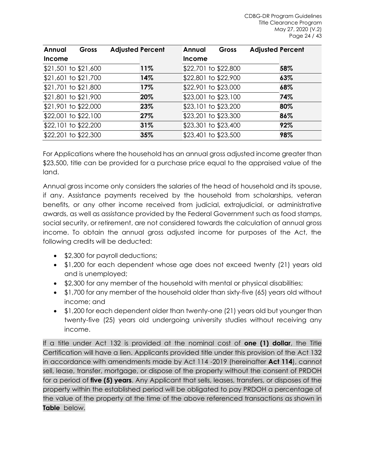| Annual | <b>Gross</b>         | <b>Adjusted Percent</b> |     | Annual               | <b>Gross</b> | <b>Adjusted Percent</b> |     |
|--------|----------------------|-------------------------|-----|----------------------|--------------|-------------------------|-----|
| Income |                      |                         |     | <b>Income</b>        |              |                         |     |
|        | \$21,501 to \$21,600 |                         | 11% | \$22,701 to \$22,800 |              |                         | 58% |
|        | \$21,601 to \$21,700 |                         | 14% | \$22,801 to \$22,900 |              |                         | 63% |
|        | \$21,701 to \$21,800 |                         | 17% | \$22,901 to \$23,000 |              |                         | 68% |
|        | \$21,801 to \$21,900 |                         | 20% | \$23,001 to \$23,100 |              |                         | 74% |
|        | \$21,901 to \$22,000 |                         | 23% | \$23,101 to \$23,200 |              |                         | 80% |
|        | \$22,001 to \$22,100 |                         | 27% | \$23,201 to \$23,300 |              |                         | 86% |
|        | \$22,101 to \$22,200 |                         | 31% | \$23,301 to \$23,400 |              |                         | 92% |
|        | \$22,201 to \$22,300 |                         | 35% | \$23,401 to \$23,500 |              |                         | 98% |

For Applications where the household has an annual gross adjusted income greater than \$23,500, title can be provided for a purchase price equal to the appraised value of the land.

Annual gross income only considers the salaries of the head of household and its spouse, if any. Assistance payments received by the household from scholarships, veteran benefits, or any other income received from judicial, extrajudicial, or administrative awards, as well as assistance provided by the Federal Government such as food stamps, social security, or retirement, are not considered towards the calculation of annual gross income. To obtain the annual gross adjusted income for purposes of the Act, the following credits will be deducted:

- \$2,300 for payroll deductions;
- \$1,200 for each dependent whose age does not exceed twenty (21) years old and is unemployed;
- \$2,300 for any member of the household with mental or physical disabilities;
- \$1,700 for any member of the household older than sixty-five (65) years old without income; and
- \$1,200 for each dependent older than twenty-one (21) years old but younger than twenty-five (25) years old undergoing university studies without receiving any income.

If a title under Act 132 is provided at the nominal cost of **one (1) dollar**, the Title Certification will have a lien. Applicants provided title under this provision of the Act 132 in accordance with amendments made by Act 114 -2019 (hereinafter **Act 114**), cannot sell, lease, transfer, mortgage, or dispose of the property without the consent of PRDOH for a period of **five (5) years**. Any Applicant that sells, leases, transfers, or disposes of the property within the established period will be obligated to pay PRDOH a percentage of the value of the property at the time of the above referenced transactions as shown in **[Table](#page-29-1)** below.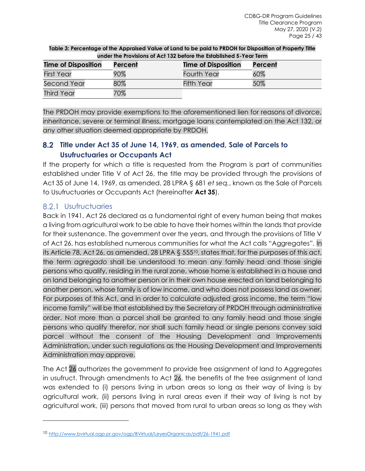| under the Provisions of Act 132 before the Established 5-Year Term |         |                            |         |
|--------------------------------------------------------------------|---------|----------------------------|---------|
| <b>Time of Disposition</b>                                         | Percent | <b>Time of Disposition</b> | Percent |
| First Year                                                         | 90%     | <b>Fourth Year</b>         | 60%     |
| Second Year                                                        | 80%     | <b>Fifth Year</b>          | 50%     |
| <b>Third Year</b>                                                  | 70%     |                            |         |

**Table 3: Percentage of the Appraised Value of Land to be paid to PRDOH for Disposition of Property Title under the Provisions of Act 132 before the Established 5-Year Term**

The PRDOH may provide exemptions to the aforementioned lien for reasons of divorce, inheritance, severe or terminal illness, mortgage loans contemplated on the Act 132, or any other situation deemed appropriate by PRDOH.

#### <span id="page-24-0"></span>**Title under Act 35 of June 14, 1969, as amended, Sale of Parcels to Usufructuaries or Occupants Act**

If the property for which a title is requested from the Program is part of communities established under Title V of Act 26, the title may be provided through the provisions of Act 35 of June 14, 1969, as amended, 28 LPRA § 681 *et seq.*, known as the Sale of Parcels to Usufructuaries or Occupants Act (hereinafter **Act 35**).

#### 8.2.1 Usufructuaries

Back in 1941, Act 26 declared as a fundamental right of every human being that makes a living from agricultural work to be able to have their homes within the lands that provide for their sustenance. The government over the years, and through the provisions of Title V of Act 26, has established numerous communities for what the Act calls "Aggregates". In its Article 78, Act 26, as amended, 28 LPRA  $\S$  555<sup>10</sup>, states that, for the purposes of this act, the term *agregado* shall be understood to mean any family head and those single persons who qualify, residing in the rural zone, whose home is established in a house and on land belonging to another person or in their own house erected on land belonging to another person, whose family is of low income, and who does not possess land as owner. For purposes of this Act, and in order to calculate adjusted gross income, the term "low income family" will be that established by the Secretary of PRDOH through administrative order. Not more than a parcel shall be granted to any family head and those single persons who qualify therefor, nor shall such family head or single persons convey said parcel without the consent of the Housing Development and Improvements Administration, under such regulations as the Housing Development and Improvements Administration may approve.

The Act 26 authorizes the government to provide free assignment of land to Aggregates in usufruct. Through amendments to Act 26, the benefits of the free assignment of land was extended to (i) persons living in urban areas so long as their way of living is by agricultural work, (ii) persons living in rural areas even if their way of living is not by agricultural work, (iii) persons that moved from rural to urban areas so long as they wish

<sup>10</sup> <http://www.bvirtual.ogp.pr.gov/ogp/BVirtual/LeyesOrganicas/pdf/26-1941.pdf>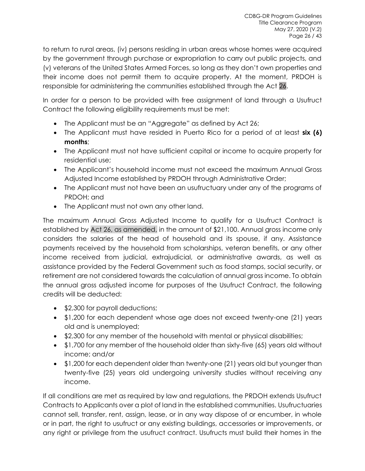to return to rural areas, (iv) persons residing in urban areas whose homes were acquired by the government through purchase or expropriation to carry out public projects, and (v) veterans of the United States Armed Forces, so long as they don't own properties and their income does not permit them to acquire property. At the moment, PRDOH is responsible for administering the communities established through the Act 26.

In order for a person to be provided with free assignment of land through a Usufruct Contract the following eligibility requirements must be met:

- The Applicant must be an "Aggregate" as defined by Act 26;
- The Applicant must have resided in Puerto Rico for a period of at least **six (6) months**;
- The Applicant must not have sufficient capital or income to acquire property for residential use;
- The Applicant's household income must not exceed the maximum Annual Gross Adjusted Income established by PRDOH through Administrative Order;
- The Applicant must not have been an usufructuary under any of the programs of PRDOH; and
- The Applicant must not own any other land.

The maximum Annual Gross Adjusted Income to qualify for a Usufruct Contract is established by Act 26, as amended, in the amount of \$21,100. Annual gross income only considers the salaries of the head of household and its spouse, if any. Assistance payments received by the household from scholarships, veteran benefits, or any other income received from judicial, extrajudicial, or administrative awards, as well as assistance provided by the Federal Government such as food stamps, social security, or retirement are not considered towards the calculation of annual gross income. To obtain the annual gross adjusted income for purposes of the Usufruct Contract, the following credits will be deducted:

- \$2,300 for payroll deductions;
- \$1,200 for each dependent whose age does not exceed twenty-one (21) years old and is unemployed;
- \$2,300 for any member of the household with mental or physical disabilities;
- \$1,700 for any member of the household older than sixty-five (65) years old without income; and/or
- \$1,200 for each dependent older than twenty-one (21) years old but younger than twenty-five (25) years old undergoing university studies without receiving any income.

If all conditions are met as required by law and regulations, the PRDOH extends Usufruct Contracts to Applicants over a plot of land in the established communities. Usufructuaries cannot sell, transfer, rent, assign, lease, or in any way dispose of or encumber, in whole or in part, the right to usufruct or any existing buildings, accessories or improvements, or any right or privilege from the usufruct contract. Usufructs must build their homes in the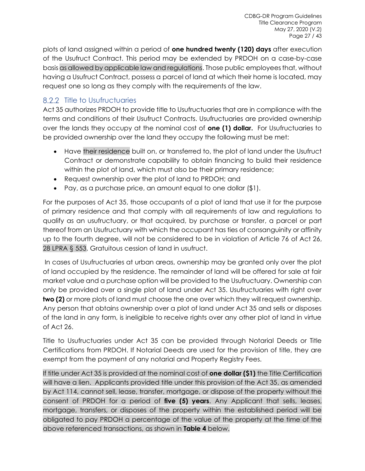plots of land assigned within a period of **one hundred twenty (120) days** after execution of the Usufruct Contract. This period may be extended by PRDOH on a case-by-case basis as allowed by applicable law and regulations. Those public employees that, without having a Usufruct Contract, possess a parcel of land at which their home is located, may request one so long as they comply with the requirements of the law.

#### 8.2.2 Title to Usufructuaries

Act 35 authorizes PRDOH to provide title to Usufructuaries that are in compliance with the terms and conditions of their Usufruct Contracts. Usufructuaries are provided ownership over the lands they occupy at the nominal cost of **one (1) dollar.** For Usufructuaries to be provided ownership over the land they occupy the following must be met:

- Have their residence built on, or transferred to, the plot of land under the Usufruct Contract or demonstrate capability to obtain financing to build their residence within the plot of land, which must also be their primary residence;
- Request ownership over the plot of land to PRDOH; and
- Pay, as a purchase price, an amount equal to one dollar (\$1).

For the purposes of Act 35, those occupants of a plot of land that use it for the purpose of primary residence and that comply with all requirements of law and regulations to qualify as an usufructuary, or that acquired, by purchase or transfer, a parcel or part thereof from an Usufructuary with which the occupant has ties of consanguinity or affinity up to the fourth degree, will not be considered to be in violation of Article 76 of Act 26, 28 LPRA § 553, Gratuitous cession of land in usufruct.

In cases of Usufructuaries at urban areas, ownership may be granted only over the plot of land occupied by the residence. The remainder of land will be offered for sale at fair market value and a purchase option will be provided to the Usufructuary. Ownership can only be provided over a single plot of land under Act 35. Usufructuaries with right over **two (2)** or more plots of land must choose the one over which they will request ownership. Any person that obtains ownership over a plot of land under Act 35 and sells or disposes of the land in any form, is ineligible to receive rights over any other plot of land in virtue of Act 26.

Title to Usufructuaries under Act 35 can be provided through Notarial Deeds or Title Certifications from PRDOH. If Notarial Deeds are used for the provision of title, they are exempt from the payment of any notarial and Property Registry Fees.

If title under Act 35 is provided at the nominal cost of **one dollar (\$1)** the Title Certification will have a lien. Applicants provided title under this provision of the Act 35, as amended by Act 114, cannot sell, lease, transfer, mortgage, or dispose of the property without the consent of PRDOH for a period of **five (5) years**. Any Applicant that sells, leases, mortgage, transfers, or disposes of the property within the established period will be obligated to pay PRDOH a percentage of the value of the property at the time of the above referenced transactions, as shown in **Table 4** below.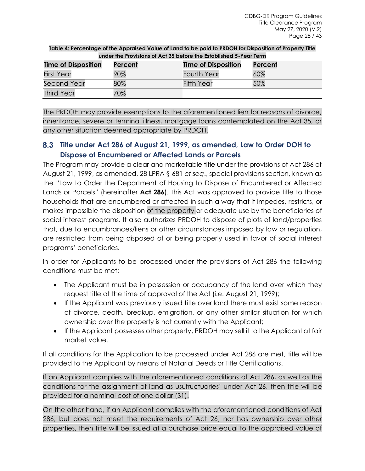| <b>Time of Disposition</b> | Percent | <b>Time of Disposition</b> | Percent |
|----------------------------|---------|----------------------------|---------|
| First Year                 | 90%     | <b>Fourth Year</b>         | 60%     |
| Second Year                | 80%     | Fifth Year                 | 50%     |
| <b>Third Year</b>          | 70%     |                            |         |

**Table 4: Percentage of the Appraised Value of Land to be paid to PRDOH for Disposition of Property Title under the Provisions of Act 35 before the Established 5-Year Term**

The PRDOH may provide exemptions to the aforementioned lien for reasons of divorce, inheritance, severe or terminal illness, mortgage loans contemplated on the Act 35, or any other situation deemed appropriate by PRDOH.

#### <span id="page-27-0"></span>**Title under Act 286 of August 21, 1999, as amended, Law to Order DOH to Dispose of Encumbered or Affected Lands or Parcels**

The Program may provide a clear and marketable title under the provisions of Act 286 of August 21, 1999, as amended, 28 LPRA § 681 *et seq*., special provisions section, known as the "Law to Order the Department of Housing to Dispose of Encumbered or Affected Lands or Parcels" (hereinafter **Act 286**). This Act was approved to provide title to those households that are encumbered or affected in such a way that it impedes, restricts, or makes impossible the disposition of the property or adequate use by the beneficiaries of social interest programs. It also authorizes PRDOH to dispose of plots of land/properties that, due to encumbrances/liens or other circumstances imposed by law or regulation, are restricted from being disposed of or being properly used in favor of social interest programs' beneficiaries.

In order for Applicants to be processed under the provisions of Act 286 the following conditions must be met:

- The Applicant must be in possession or occupancy of the land over which they request title at the time of approval of the Act (i.e. August 21, 1999);
- If the Applicant was previously issued title over land there must exist some reason of divorce, death, breakup, emigration, or any other similar situation for which ownership over the property is not currently with the Applicant;
- If the Applicant possesses other property, PRDOH may sell it to the Applicant at fair market value.

If all conditions for the Application to be processed under Act 286 are met, title will be provided to the Applicant by means of Notarial Deeds or Title Certifications.

If an Applicant complies with the aforementioned conditions of Act 286, as well as the conditions for the assignment of land as usufructuaries' under Act 26, then title will be provided for a nominal cost of one dollar (\$1).

On the other hand, if an Applicant complies with the aforementioned conditions of Act 286, but does not meet the requirements of Act 26, nor has ownership over other properties, then title will be issued at a purchase price equal to the appraised value of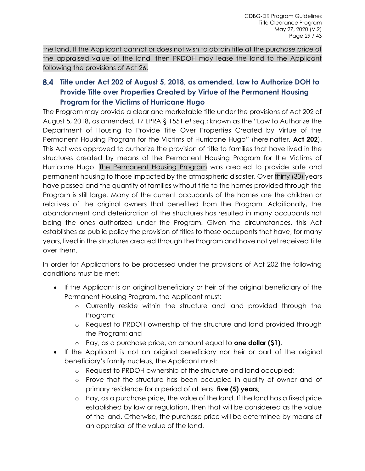the land. If the Applicant cannot or does not wish to obtain title at the purchase price of the appraised value of the land, then PRDOH may lease the land to the Applicant following the provisions of Act 26.

#### <span id="page-28-0"></span>**Title under Act 202 of August 5, 2018, as amended, Law to Authorize DOH to Provide Title over Properties Created by Virtue of the Permanent Housing Program for the Victims of Hurricane Hugo**

The Program may provide a clear and marketable title under the provisions of Act 202 of August 5, 2018, as amended, 17 LPRA § 1551 *et seq.*; known as the "Law to Authorize the Department of Housing to Provide Title Over Properties Created by Virtue of the Permanent Housing Program for the Victims of Hurricane Hugo" (hereinafter, **Act 202**). This Act was approved to authorize the provision of title to families that have lived in the structures created by means of the Permanent Housing Program for the Victims of Hurricane Hugo. The Permanent Housing Program was created to provide safe and permanent housing to those impacted by the atmospheric disaster. Over thirty (30) years have passed and the quantity of families without title to the homes provided through the Program is still large. Many of the current occupants of the homes are the children or relatives of the original owners that benefited from the Program. Additionally, the abandonment and deterioration of the structures has resulted in many occupants not being the ones authorized under the Program. Given the circumstances, this Act establishes as public policy the provision of titles to those occupants that have, for many years, lived in the structures created through the Program and have not yet received title over them.

In order for Applications to be processed under the provisions of Act 202 the following conditions must be met:

- If the Applicant is an original beneficiary or heir of the original beneficiary of the Permanent Housing Program, the Applicant must:
	- o Currently reside within the structure and land provided through the Program;
	- o Request to PRDOH ownership of the structure and land provided through the Program; and
	- o Pay, as a purchase price, an amount equal to **one dollar (\$1)**.
- If the Applicant is not an original beneficiary nor heir or part of the original beneficiary's family nucleus, the Applicant must:
	- o Request to PRDOH ownership of the structure and land occupied;
	- o Prove that the structure has been occupied in quality of owner and of primary residence for a period of at least **five (5) years**;
	- o Pay, as a purchase price, the value of the land. If the land has a fixed price established by law or regulation, then that will be considered as the value of the land. Otherwise, the purchase price will be determined by means of an appraisal of the value of the land.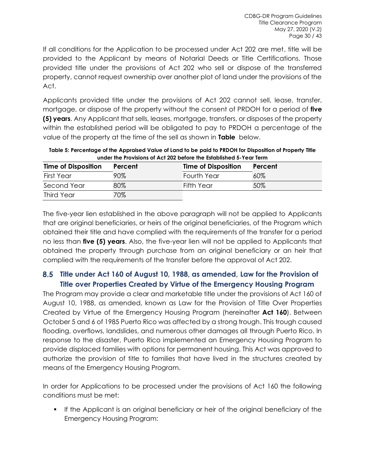If all conditions for the Application to be processed under Act 202 are met, title will be provided to the Applicant by means of Notarial Deeds or Title Certifications. Those provided title under the provisions of Act 202 who sell or dispose of the transferred property, cannot request ownership over another plot of land under the provisions of the Act.

Applicants provided title under the provisions of Act 202 cannot sell, lease, transfer, mortgage, or dispose of the property without the consent of PRDOH for a period of **five (5) years**. Any Applicant that sells, leases, mortgage, transfers, or disposes of the property within the established period will be obligated to pay to PRDOH a percentage of the value of the property at the time of the sell as shown in **[Table](#page-29-1)** below.

<span id="page-29-1"></span>**Table 5: Percentage of the Appraised Value of Land to be paid to PRDOH for Disposition of Property Title under the Provisions of Act 202 before the Established 5-Year Term**

| <b>Time of Disposition</b> | Percent | <b>Time of Disposition</b> | Percent |
|----------------------------|---------|----------------------------|---------|
| <b>First Year</b>          | 90%     | Fourth Year                | 60%     |
| Second Year                | 80%     | Fifth Year                 | 50%     |
| <b>Third Year</b>          | 70%     |                            |         |

The five-year lien established in the above paragraph will not be applied to Applicants that are original beneficiaries, or heirs of the original beneficiaries, of the Program which obtained their title and have complied with the requirements of the transfer for a period no less than **five (5) years**. Also, the five-year lien will not be applied to Applicants that obtained the property through purchase from an original beneficiary or an heir that complied with the requirements of the transfer before the approval of Act 202.

#### <span id="page-29-0"></span>**Title under Act 160 of August 10, 1988, as amended, Law for the Provision of Title over Properties Created by Virtue of the Emergency Housing Program**

The Program may provide a clear and marketable title under the provisions of Act 160 of August 10, 1988, as amended, known as Law for the Provision of Title Over Properties Created by Virtue of the Emergency Housing Program (hereinafter **Act 160**). Between October 5 and 6 of 1985 Puerto Rico was affected by a strong trough. This trough caused flooding, overflows, landslides, and numerous other damages all through Puerto Rico. In response to the disaster, Puerto Rico implemented an Emergency Housing Program to provide displaced families with options for permanent housing. This Act was approved to authorize the provision of title to families that have lived in the structures created by means of the Emergency Housing Program.

In order for Applications to be processed under the provisions of Act 160 the following conditions must be met:

▪ If the Applicant is an original beneficiary or heir of the original beneficiary of the Emergency Housing Program: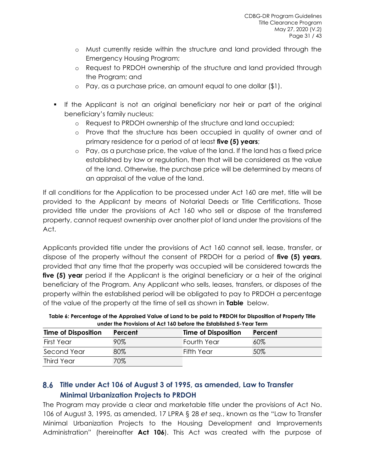- o Must currently reside within the structure and land provided through the Emergency Housing Program;
- o Request to PRDOH ownership of the structure and land provided through the Program; and
- o Pay, as a purchase price, an amount equal to one dollar (\$1).
- **•** If the Applicant is not an original beneficiary nor heir or part of the original beneficiary's family nucleus:
	- o Request to PRDOH ownership of the structure and land occupied;
	- o Prove that the structure has been occupied in quality of owner and of primary residence for a period of at least **five (5) years**;
	- o Pay, as a purchase price, the value of the land. If the land has a fixed price established by law or regulation, then that will be considered as the value of the land. Otherwise, the purchase price will be determined by means of an appraisal of the value of the land.

If all conditions for the Application to be processed under Act 160 are met, title will be provided to the Applicant by means of Notarial Deeds or Title Certifications. Those provided title under the provisions of Act 160 who sell or dispose of the transferred property, cannot request ownership over another plot of land under the provisions of the Act.

Applicants provided title under the provisions of Act 160 cannot sell, lease, transfer, or dispose of the property without the consent of PRDOH for a period of **five (5) years**, provided that any time that the property was occupied will be considered towards the **five (5) year** period if the Applicant is the original beneficiary or a heir of the original beneficiary of the Program. Any Applicant who sells, leases, transfers, or disposes of the property within the established period will be obligated to pay to PRDOH a percentage of the value of the property at the time of sell as shown in **[Table](#page-30-1)** below.

| <u>under the Frovisions of Act T60 before the Established 5-Tear Term</u> |         |                            |         |
|---------------------------------------------------------------------------|---------|----------------------------|---------|
| <b>Time of Disposition</b>                                                | Percent | <b>Time of Disposition</b> | Percent |
| <b>First Year</b>                                                         | 90%     | Fourth Year                | 60%     |
| Second Year                                                               | 80%     | Fifth Year                 | 50%     |
| <b>Third Year</b>                                                         | 70%     |                            |         |

<span id="page-30-1"></span>**Table 6: Percentage of the Appraised Value of Land to be paid to PRDOH for Disposition of Property Title under the Provisions of Act 160 before the Established 5-Year Term**

#### <span id="page-30-0"></span>**Title under Act 106 of August 3 of 1995, as amended, Law to Transfer Minimal Urbanization Projects to PRDOH**

The Program may provide a clear and marketable title under the provisions of Act No. 106 of August 3, 1995, as amended, 17 LPRA § 28 *et seq.*, known as the "Law to Transfer Minimal Urbanization Projects to the Housing Development and Improvements Administration" (hereinafter **Act 106**). This Act was created with the purpose of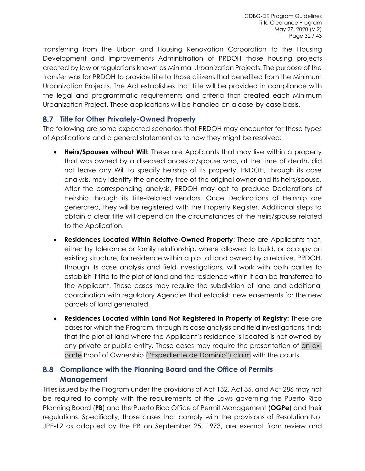transferring from the Urban and Housing Renovation Corporation to the Housing Development and Improvements Administration of PRDOH those housing projects created by law or regulations known as Minimal Urbanization Projects. The purpose of the transfer was for PRDOH to provide title to those citizens that benefited from the Minimum Urbanization Projects. The Act establishes that title will be provided in compliance with the legal and programmatic requirements and criteria that created each Minimum Urbanization Project. These applications will be handled on a case-by-case basis.

#### <span id="page-31-0"></span>**Title for Other Privately-Owned Property**

The following are some expected scenarios that PRDOH may encounter for these types of Applications and a general statement as to how they might be resolved:

- **Heirs/Spouses without Will:** These are Applicants that may live within a property that was owned by a diseased ancestor/spouse who, at the time of death, did not leave any Will to specify heirship of its property. PRDOH, through its case analysis, may identify the ancestry tree of the original owner and its heirs/spouse. After the corresponding analysis, PRDOH may opt to produce Declarations of Heirship through its Title-Related vendors. Once Declarations of Heirship are generated, they will be registered with the Property Register. Additional steps to obtain a clear title will depend on the circumstances of the heirs/spouse related to the Application.
- **Residences Located Within Relative-Owned Property**: These are Applicants that, either by tolerance or family relationship, where allowed to build, or occupy an existing structure, for residence within a plot of land owned by a relative. PRDOH, through its case analysis and field investigations, will work with both parties to establish if title to the plot of land and the residence within it can be transferred to the Applicant. These cases may require the subdivision of land and additional coordination with regulatory Agencies that establish new easements for the new parcels of land generated.
- **Residences Located within Land Not Registered in Property of Registry:** These are cases for which the Program, through its case analysis and field investigations, finds that the plot of land where the Applicant's residence is located is not owned by any private or public entity. These cases may require the presentation of an exparte Proof of Ownership ("Expediente de Dominio") claim with the courts.

#### <span id="page-31-1"></span>**Compliance with the Planning Board and the Office of Permits Management**

Titles issued by the Program under the provisions of Act 132, Act 35, and Act 286 may not be required to comply with the requirements of the Laws governing the Puerto Rico Planning Board (**PB**) and the Puerto Rico Office of Permit Management (**OGPe**) and their regulations. Specifically, those cases that comply with the provisions of Resolution No. JPE-12 as adopted by the PB on September 25, 1973, are exempt from review and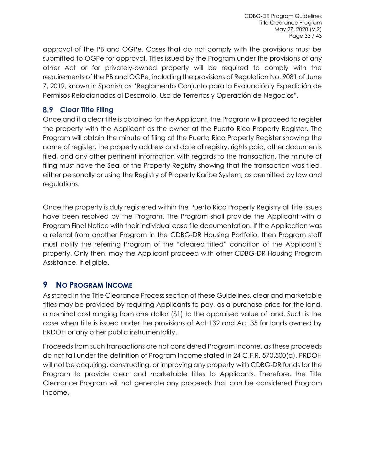approval of the PB and OGPe. Cases that do not comply with the provisions must be submitted to OGPe for approval. Titles issued by the Program under the provisions of any other Act or for privately-owned property will be required to comply with the requirements of the PB and OGPe, including the provisions of Regulation No. 9081 of June 7, 2019, known in Spanish as "Reglamento Conjunto para la Evaluación y Expedición de Permisos Relacionados al Desarrollo, Uso de Terrenos y Operación de Negocios".

#### <span id="page-32-0"></span>**Clear Title Filing**

Once and if a clear title is obtained for the Applicant, the Program will proceed to register the property with the Applicant as the owner at the Puerto Rico Property Register. The Program will obtain the minute of filing at the Puerto Rico Property Register showing the name of register, the property address and date of registry, rights paid, other documents filed, and any other pertinent information with regards to the transaction. The minute of filing must have the Seal of the Property Registry showing that the transaction was filed, either personally or using the Registry of Property Karibe System, as permitted by law and regulations.

Once the property is duly registered within the Puerto Rico Property Registry all title issues have been resolved by the Program. The Program shall provide the Applicant with a Program Final Notice with their individual case file documentation. If the Application was a referral from another Program in the CDBG-DR Housing Portfolio, then Program staff must notify the referring Program of the "cleared titled" condition of the Applicant's property. Only then, may the Applicant proceed with other CDBG-DR Housing Program Assistance, if eligible.

# <span id="page-32-1"></span>**9 NO PROGRAM INCOME**

As stated in the Title Clearance Process section of these Guidelines, clear and marketable titles may be provided by requiring Applicants to pay, as a purchase price for the land, a nominal cost ranging from one dollar (\$1) to the appraised value of land. Such is the case when title is issued under the provisions of Act 132 and Act 35 for lands owned by PRDOH or any other public instrumentality.

Proceeds from such transactions are not considered Program Income, as these proceeds do not fall under the definition of Program Income stated in 24 C.F.R. 570.500(a). PRDOH will not be acquiring, constructing, or improving any property with CDBG-DR funds for the Program to provide clear and marketable titles to Applicants. Therefore, the Title Clearance Program will not generate any proceeds that can be considered Program Income.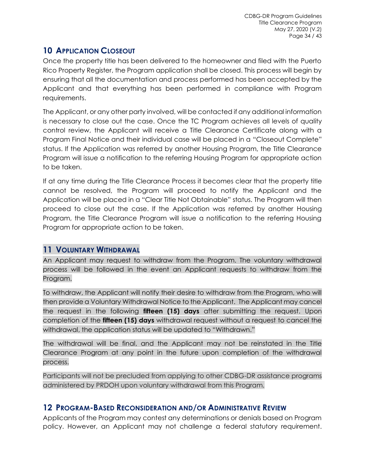# <span id="page-33-0"></span>**10 APPLICATION CLOSEOUT**

Once the property title has been delivered to the homeowner and filed with the Puerto Rico Property Register, the Program application shall be closed. This process will begin by ensuring that all the documentation and process performed has been accepted by the Applicant and that everything has been performed in compliance with Program requirements.

The Applicant, or any other party involved, will be contacted if any additional information is necessary to close out the case. Once the TC Program achieves all levels of quality control review, the Applicant will receive a Title Clearance Certificate along with a Program Final Notice and their individual case will be placed in a "Closeout Complete" status. If the Application was referred by another Housing Program, the Title Clearance Program will issue a notification to the referring Housing Program for appropriate action to be taken.

If at any time during the Title Clearance Process it becomes clear that the property title cannot be resolved, the Program will proceed to notify the Applicant and the Application will be placed in a "Clear Title Not Obtainable" status. The Program will then proceed to close out the case. If the Application was referred by another Housing Program, the Title Clearance Program will issue a notification to the referring Housing Program for appropriate action to be taken.

# <span id="page-33-1"></span>**11 VOLUNTARY WITHDRAWAL**

An Applicant may request to withdraw from the Program. The voluntary withdrawal process will be followed in the event an Applicant requests to withdraw from the Program.

To withdraw, the Applicant will notify their desire to withdraw from the Program, who will then provide a Voluntary Withdrawal Notice to the Applicant. The Applicant may cancel the request in the following **fifteen (15) days** after submitting the request. Upon completion of the **fifteen (15) days** withdrawal request without a request to cancel the withdrawal, the application status will be updated to "Withdrawn."

The withdrawal will be final, and the Applicant may not be reinstated in the Title Clearance Program at any point in the future upon completion of the withdrawal process.

Participants will not be precluded from applying to other CDBG-DR assistance programs administered by PRDOH upon voluntary withdrawal from this Program.

#### <span id="page-33-2"></span>**12 PROGRAM-BASED RECONSIDERATION AND/OR ADMINISTRATIVE REVIEW**

Applicants of the Program may contest any determinations or denials based on Program policy. However, an Applicant may not challenge a federal statutory requirement.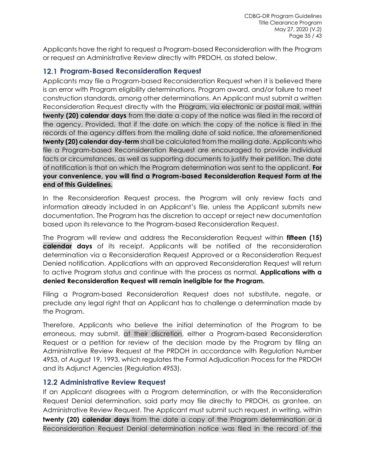Applicants have the right to request a Program-based Reconsideration with the Program or request an Administrative Review directly with PRDOH, as stated below.

#### <span id="page-34-0"></span>**Program-Based Reconsideration Request**

Applicants may file a Program-based Reconsideration Request when it is believed there is an error with Program eligibility determinations, Program award, and/or failure to meet construction standards, among other determinations. An Applicant must submit a written Reconsideration Request directly with the Program, via electronic or postal mail, within **twenty (20) calendar days** from the date a copy of the notice was filed in the record of the agency. Provided, that if the date on which the copy of the notice is filed in the records of the agency differs from the mailing date of said notice, the aforementioned **twenty (20) calendar day-term** shall be calculated from the mailing date. Applicants who file a Program-based Reconsideration Request are encouraged to provide individual facts or circumstances, as well as supporting documents to justify their petition. The date of notification is that on which the Program determination was sent to the applicant. **For your convenience, you will find a Program-based Reconsideration Request Form at the end of this Guidelines.**

In the Reconsideration Request process, the Program will only review facts and information already included in an Applicant's file, unless the Applicant submits new documentation. The Program has the discretion to accept or reject new documentation based upon its relevance to the Program-based Reconsideration Request.

The Program will review and address the Reconsideration Request within **fifteen (15) calendar days** of its receipt. Applicants will be notified of the reconsideration determination via a Reconsideration Request Approved or a Reconsideration Request Denied notification. Applications with an approved Reconsideration Request will return to active Program status and continue with the process as normal. **Applications with a denied Reconsideration Request will remain ineligible for the Program.**

Filing a Program-based Reconsideration Request does not substitute, negate, or preclude any legal right that an Applicant has to challenge a determination made by the Program.

Therefore, Applicants who believe the initial determination of the Program to be erroneous, may submit, at their discretion, either a Program-based Reconsideration Request or a petition for review of the decision made by the Program by filing an Administrative Review Request at the PRDOH in accordance with Regulation Number 4953, of August 19, 1993, which regulates the Formal Adjudication Process for the PRDOH and its Adjunct Agencies (Regulation 4953).

#### <span id="page-34-1"></span>**12.2 Administrative Review Request**

If an Applicant disagrees with a Program determination, or with the Reconsideration Request Denial determination, said party may file directly to PRDOH, as grantee, an Administrative Review Request. The Applicant must submit such request, in writing, within **twenty (20) calendar days** from the date a copy of the Program determination or a Reconsideration Request Denial determination notice was filed in the record of the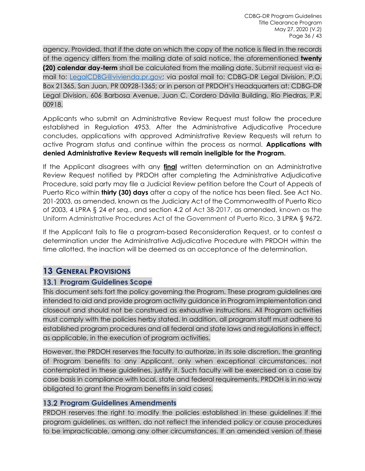agency. Provided, that if the date on which the copy of the notice is filed in the records of the agency differs from the mailing date of said notice, the aforementioned **twenty (20) calendar day-term** shall be calculated from the mailing date. Submit request via email to: [LegalCDBG@vivienda.pr.gov;](mailto:LegalCDBG@vivienda.pr.gov) via postal mail to: CDBG-DR Legal Division, P.O. Box 21365, San Juan, PR 00928-1365; or in person at PRDOH's Headquarters at: CDBG-DR Legal Division, 606 Barbosa Avenue, Juan C. Cordero Dávila Building, Río Piedras, P.R. 00918.

Applicants who submit an Administrative Review Request must follow the procedure established in Regulation 4953. After the Administrative Adjudicative Procedure concludes, applications with approved Administrative Review Requests will return to active Program status and continue within the process as normal. **Applications with denied Administrative Review Requests will remain ineligible for the Program.**

If the Applicant disagrees with any **final** written determination on an Administrative Review Request notified by PRDOH after completing the Administrative Adjudicative Procedure, said party may file a Judicial Review petition before the Court of Appeals of Puerto Rico within **thirty (30) days** after a copy of the notice has been filed. See Act No. 201-2003, as amended, known as the Judiciary Act of the Commonwealth of Puerto Rico of 2003, 4 LPRA § 24 *et seq.*, and section 4.2 of Act 38-2017, as amended, known as the Uniform Administrative Procedures Act of the Government of Puerto Rico, 3 LPRA § 9672.

If the Applicant fails to file a program-based Reconsideration Request, or to contest a determination under the Administrative Adjudicative Procedure with PRDOH within the time allotted, the inaction will be deemed as an acceptance of the determination.

# <span id="page-35-0"></span>**13 GENERAL PROVISIONS**

#### <span id="page-35-1"></span>**13.1 Program Guidelines Scope**

This document sets fort the policy governing the Program. These program guidelines are intended to aid and provide program activity guidance in Program implementation and closeout and should not be construed as exhaustive instructions. All Program activities must comply with the policies herby stated. In addition, all program staff must adhere to established program procedures and all federal and state laws and regulations in effect, as applicable, in the execution of program activities.

However, the PRDOH reserves the faculty to authorize, in its sole discretion, the granting of Program benefits to any Applicant, only when exceptional circumstances, not contemplated in these guidelines, justify it. Such faculty will be exercised on a case by case basis in compliance with local, state and federal requirements. PRDOH is in no way obligated to grant the Program benefits in said cases.

#### <span id="page-35-2"></span>**Program Guidelines Amendments**

PRDOH reserves the right to modify the policies established in these guidelines if the program guidelines, as written, do not reflect the intended policy or cause procedures to be impracticable, among any other circumstances. If an amended version of these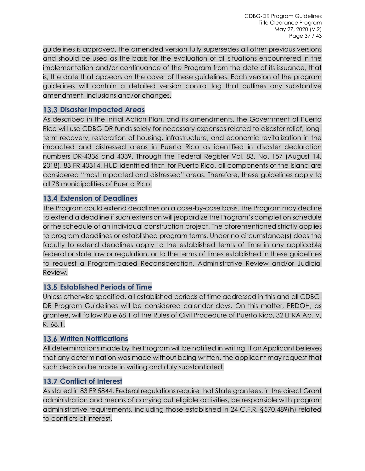CDBG-DR Program Guidelines Title Clearance Program May 27, 2020 (V.2) Page 37 / 43

guidelines is approved, the amended version fully supersedes all other previous versions and should be used as the basis for the evaluation of all situations encountered in the implementation and/or continuance of the Program from the date of its issuance, that is, the date that appears on the cover of these guidelines. Each version of the program guidelines will contain a detailed version control log that outlines any substantive amendment, inclusions and/or changes.

#### <span id="page-36-0"></span>**Disaster Impacted Areas**

As described in the initial Action Plan, and its amendments, the Government of Puerto Rico will use CDBG-DR funds solely for necessary expenses related to disaster relief, longterm recovery, restoration of housing, infrastructure, and economic revitalization in the impacted and distressed areas in Puerto Rico as identified in disaster declaration numbers DR-4336 and 4339. Through the Federal Register Vol. 83, No. 157 (August 14, 2018), 83 FR 40314, HUD identified that, for Puerto Rico, all components of the Island are considered "most impacted and distressed" areas. Therefore, these guidelines apply to all 78 municipalities of Puerto Rico.

#### <span id="page-36-1"></span>**13.4 Extension of Deadlines**

The Program could extend deadlines on a case-by-case basis. The Program may decline to extend a deadline if such extension will jeopardize the Program's completion schedule or the schedule of an individual construction project. The aforementioned strictly applies to program deadlines or established program terms. Under no circumstance(s) does the faculty to extend deadlines apply to the established terms of time in any applicable federal or state law or regulation, or to the terms of times established in these guidelines to request a Program-based Reconsideration, Administrative Review and/or Judicial Review.

#### <span id="page-36-2"></span>**Established Periods of Time**

Unless otherwise specified, all established periods of time addressed in this and all CDBG-DR Program Guidelines will be considered calendar days. On this matter, PRDOH, as grantee, will follow Rule 68.1 of the Rules of Civil Procedure of Puerto Rico, 32 LPRA Ap. V, R. 68.1.

#### <span id="page-36-3"></span>**Written Notifications**

All determinations made by the Program will be notified in writing. If an Applicant believes that any determination was made without being written, the applicant may request that such decision be made in writing and duly substantiated.

#### <span id="page-36-4"></span>13.7 Conflict of Interest

As stated in 83 FR 5844, Federal regulations require that State grantees, in the direct Grant administration and means of carrying out eligible activities, be responsible with program administrative requirements, including those established in 24 C.F.R. §570.489(h) related to conflicts of interest.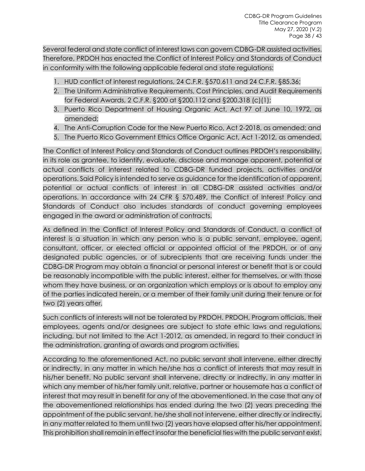Several federal and state conflict of interest laws can govern CDBG-DR assisted activities. Therefore, PRDOH has enacted the Conflict of Interest Policy and Standards of Conduct in conformity with the following applicable federal and state regulations:

- 1. HUD conflict of interest regulations, 24 C.F.R. §570.611 and 24 C.F.R. §85.36;
- 2. The Uniform Administrative Requirements, Cost Principles, and Audit Requirements for Federal Awards, 2 C.F.R. §200 at §200.112 and §200.318 (c)(1);
- 3. Puerto Rico Department of Housing Organic Act, Act 97 of June 10, 1972, as amended;
- 4. The Anti-Corruption Code for the New Puerto Rico, Act 2-2018, as amended; and
- 5. The Puerto Rico Government Ethics Office Organic Act, Act 1-2012, as amended.

The Conflict of Interest Policy and Standards of Conduct outlines PRDOH's responsibility, in its role as grantee, to identify, evaluate, disclose and manage apparent, potential or actual conflicts of interest related to CDBG-DR funded projects, activities and/or operations. Said Policy is intended to serve as guidance for the identification of apparent, potential or actual conflicts of interest in all CDBG-DR assisted activities and/or operations. In accordance with 24 CFR § 570.489, the Conflict of Interest Policy and Standards of Conduct also includes standards of conduct governing employees engaged in the award or administration of contracts.

As defined in the Conflict of Interest Policy and Standards of Conduct, a conflict of interest is a situation in which any person who is a public servant, employee, agent, consultant, officer, or elected official or appointed official of the PRDOH, or of any designated public agencies, or of subrecipients that are receiving funds under the CDBG-DR Program may obtain a financial or personal interest or benefit that is or could be reasonably incompatible with the public interest, either for themselves, or with those whom they have business, or an organization which employs or is about to employ any of the parties indicated herein, or a member of their family unit during their tenure or for two (2) years after.

Such conflicts of interests will not be tolerated by PRDOH. PRDOH, Program officials, their employees, agents and/or designees are subject to state ethic laws and regulations, including, but not limited to the Act 1-2012, as amended, in regard to their conduct in the administration, granting of awards and program activities.

According to the aforementioned Act, no public servant shall intervene, either directly or indirectly, in any matter in which he/she has a conflict of interests that may result in his/her benefit. No public servant shall intervene, directly or indirectly, in any matter in which any member of his/her family unit, relative, partner or housemate has a conflict of interest that may result in benefit for any of the abovementioned. In the case that any of the abovementioned relationships has ended during the two (2) years preceding the appointment of the public servant, he/she shall not intervene, either directly or indirectly, in any matter related to them until two (2) years have elapsed after his/her appointment. This prohibition shall remain in effect insofar the beneficial ties with the public servant exist.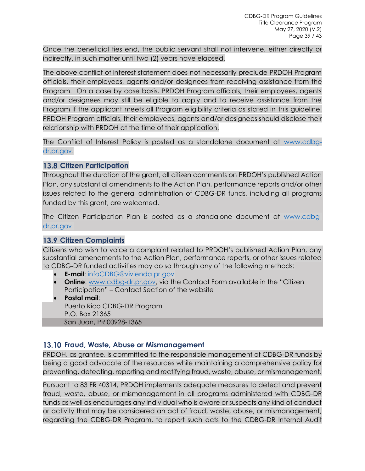Once the beneficial ties end, the public servant shall not intervene, either directly or indirectly, in such matter until two (2) years have elapsed.

The above conflict of interest statement does not necessarily preclude PRDOH Program officials, their employees, agents and/or designees from receiving assistance from the Program. On a case by case basis, PRDOH Program officials, their employees, agents and/or designees may still be eligible to apply and to receive assistance from the Program if the applicant meets all Program eligibility criteria as stated in this guideline. PRDOH Program officials, their employees, agents and/or designees should disclose their relationship with PRDOH at the time of their application.

The Conflict of Interest Policy is posted as a standalone document at [www.cdbg](http://www.cdbg-dr.pr.gov/)[dr.pr.gov.](http://www.cdbg-dr.pr.gov/)

#### <span id="page-38-0"></span>**13.8 Citizen Participation**

Throughout the duration of the grant, all citizen comments on PRDOH's published Action Plan, any substantial amendments to the Action Plan, performance reports and/or other issues related to the general administration of CDBG-DR funds, including all programs funded by this grant, are welcomed.

The Citizen Participation Plan is posted as a standalone document at [www.cdbg](http://www.cdbg-dr.pr.gov/)[dr.pr.gov.](http://www.cdbg-dr.pr.gov/)

#### <span id="page-38-1"></span>**Citizen Complaints**

Citizens who wish to voice a complaint related to PRDOH's published Action Plan, any substantial amendments to the Action Plan, performance reports, or other issues related to CDBG-DR funded activities may do so through any of the following methods:

- **E-mail**: [infoCDBG@vivienda.pr.gov](mailto:infoCDBG@vivienda.pr.gov)
- **Online**: [www.cdbg-dr.pr.gov](http://www.cdbg-dr.pr.gov/), via the Contact Form available in the "Citizen Participation" – Contact Section of the website
- **Postal mail**: Puerto Rico CDBG-DR Program P.O. Box 21365 San Juan, PR 00928-1365

#### <span id="page-38-2"></span>**Fraud, Waste, Abuse or Mismanagement**

PRDOH, as grantee, is committed to the responsible management of CDBG-DR funds by being a good advocate of the resources while maintaining a comprehensive policy for preventing, detecting, reporting and rectifying fraud, waste, abuse, or mismanagement.

Pursuant to 83 FR 40314, PRDOH implements adequate measures to detect and prevent fraud, waste, abuse, or mismanagement in all programs administered with CDBG-DR funds as well as encourages any individual who is aware or suspects any kind of conduct or activity that may be considered an act of fraud, waste, abuse, or mismanagement, regarding the CDBG-DR Program, to report such acts to the CDBG-DR Internal Audit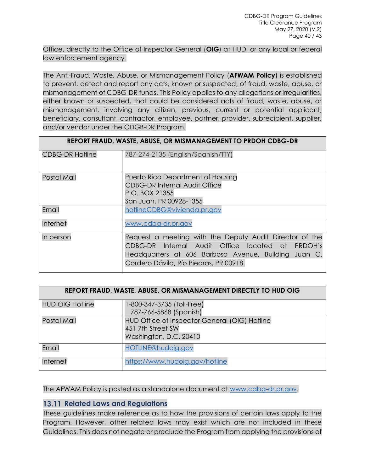Office, directly to the Office of Inspector General (**OIG**) at HUD, or any local or federal law enforcement agency.

The Anti-Fraud, Waste, Abuse, or Mismanagement Policy (**AFWAM Policy**) is established to prevent, detect and report any acts, known or suspected, of fraud, waste, abuse, or mismanagement of CDBG-DR funds. This Policy applies to any allegations or irregularities, either known or suspected, that could be considered acts of fraud, waste, abuse, or mismanagement, involving any citizen, previous, current or potential applicant, beneficiary, consultant, contractor, employee, partner, provider, subrecipient, supplier, and/or vendor under the CDGB-DR Program.

|                        | REPORT FRAUD, WASTE, ABUSE, OR MISMANAGEMENT TO PRDOH CDBG-DR                                                                                                                                                     |
|------------------------|-------------------------------------------------------------------------------------------------------------------------------------------------------------------------------------------------------------------|
| <b>CDBG-DR Hotline</b> | 787-274-2135 (English/Spanish/TTY)                                                                                                                                                                                |
| <b>Postal Mail</b>     | Puerto Rico Department of Housing<br><b>CDBG-DR Internal Audit Office</b><br>P.O. BOX 21355<br>San Juan, PR 00928-1355                                                                                            |
| Email                  | hotlineCDBG@vivienda.pr.gov                                                                                                                                                                                       |
| Internet               | www.cdbg-dr.pr.gov                                                                                                                                                                                                |
| In person              | Request a meeting with the Deputy Audit Director of the<br>Internal Audit Office located at PRDOH's<br>CDBG-DR-<br>Headquarters at 606 Barbosa Avenue, Building Juan C.<br>Cordero Dávila, Río Piedras, PR 00918. |

| REPORT FRAUD, WASTE, ABUSE, OR MISMANAGEMENT DIRECTLY TO HUD OIG |                                                                                              |  |  |
|------------------------------------------------------------------|----------------------------------------------------------------------------------------------|--|--|
| <b>HUD OIG Hotline</b>                                           | 1-800-347-3735 (Toll-Free)<br>787-766-5868 (Spanish)                                         |  |  |
| Postal Mail                                                      | HUD Office of Inspector General (OIG) Hotline<br>451 7th Street SW<br>Washington, D.C. 20410 |  |  |
| Email                                                            | HOTLINE@hudoig.gov                                                                           |  |  |
| Internet                                                         | https://www.hudoig.gov/hotline                                                               |  |  |

The AFWAM Policy is posted as a standalone document at [www.cdbg-dr.pr.gov.](http://www.cdbg-dr.pr.gov/)

#### <span id="page-39-0"></span>**13.11 Related Laws and Regulations**

These guidelines make reference as to how the provisions of certain laws apply to the Program. However, other related laws may exist which are not included in these Guidelines. This does not negate or preclude the Program from applying the provisions of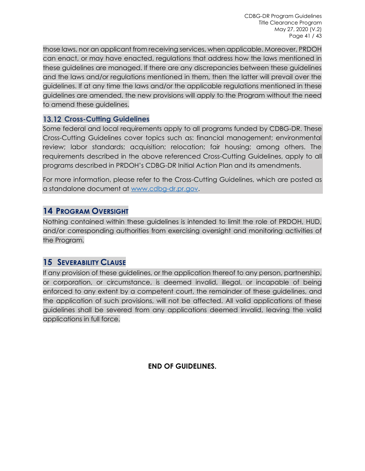those laws, nor an applicant from receiving services, when applicable. Moreover, PRDOH can enact, or may have enacted, regulations that address how the laws mentioned in these guidelines are managed. If there are any discrepancies between these guidelines and the laws and/or regulations mentioned in them, then the latter will prevail over the guidelines. If at any time the laws and/or the applicable regulations mentioned in these guidelines are amended, the new provisions will apply to the Program without the need to amend these guidelines.

#### <span id="page-40-0"></span>**13.12 Cross-Cutting Guidelines**

Some federal and local requirements apply to all programs funded by CDBG-DR. These Cross-Cutting Guidelines cover topics such as: financial management; environmental review; labor standards; acquisition; relocation; fair housing; among others. The requirements described in the above referenced Cross-Cutting Guidelines, apply to all programs described in PRDOH's CDBG-DR Initial Action Plan and its amendments.

For more information, please refer to the Cross-Cutting Guidelines, which are posted as a standalone document at [www.cdbg-dr.pr.gov.](http://www.cdbg-dr.pr.gov/)

#### <span id="page-40-1"></span>**14 PROGRAM OVERSIGHT**

Nothing contained within these guidelines is intended to limit the role of PRDOH, HUD, and/or corresponding authorities from exercising oversight and monitoring activities of the Program.

# <span id="page-40-2"></span>**15 SEVERABILITY CLAUSE**

If any provision of these guidelines, or the application thereof to any person, partnership, or corporation, or circumstance, is deemed invalid, illegal, or incapable of being enforced to any extent by a competent court, the remainder of these guidelines, and the application of such provisions, will not be affected. All valid applications of these guidelines shall be severed from any applications deemed invalid, leaving the valid applications in full force.

**END OF GUIDELINES.**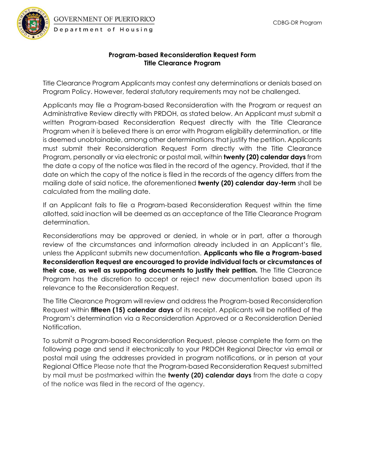

GOVERNMENT OF PUERTO RICO Department of Housing

#### **Program-based Reconsideration Request Form Title Clearance Program**

Title Clearance Program Applicants may contest any determinations or denials based on Program Policy. However, federal statutory requirements may not be challenged.

Applicants may file a Program-based Reconsideration with the Program or request an Administrative Review directly with PRDOH, as stated below. An Applicant must submit a written Program-based Reconsideration Request directly with the Title Clearance Program when it is believed there is an error with Program eligibility determination, or title is deemed unobtainable, among other determinations that justify the petition. Applicants must submit their Reconsideration Request Form directly with the Title Clearance Program, personally or via electronic or postal mail, within **twenty (20) calendar days** from the date a copy of the notice was filed in the record of the agency. Provided, that if the date on which the copy of the notice is filed in the records of the agency differs from the mailing date of said notice, the aforementioned **twenty (20) calendar day-term** shall be calculated from the mailing date.

If an Applicant fails to file a Program-based Reconsideration Request within the time allotted, said inaction will be deemed as an acceptance of the Title Clearance Program determination.

Reconsiderations may be approved or denied, in whole or in part, after a thorough review of the circumstances and information already included in an Applicant's file, unless the Applicant submits new documentation. **Applicants who file a Program-based Reconsideration Request are encouraged to provide individual facts or circumstances of their case, as well as supporting documents to justify their petition.** The Title Clearance Program has the discretion to accept or reject new documentation based upon its relevance to the Reconsideration Request.

The Title Clearance Program will review and address the Program-based Reconsideration Request within **fifteen (15) calendar days** of its receipt. Applicants will be notified of the Program's determination via a Reconsideration Approved or a Reconsideration Denied Notification.

To submit a Program-based Reconsideration Request, please complete the form on the following page and send it electronically to your PRDOH Regional Director via email or postal mail using the addresses provided in program notifications, or in person at your Regional Office Please note that the Program-based Reconsideration Request submitted by mail must be postmarked within the **twenty (20) calendar days** from the date a copy of the notice was filed in the record of the agency.